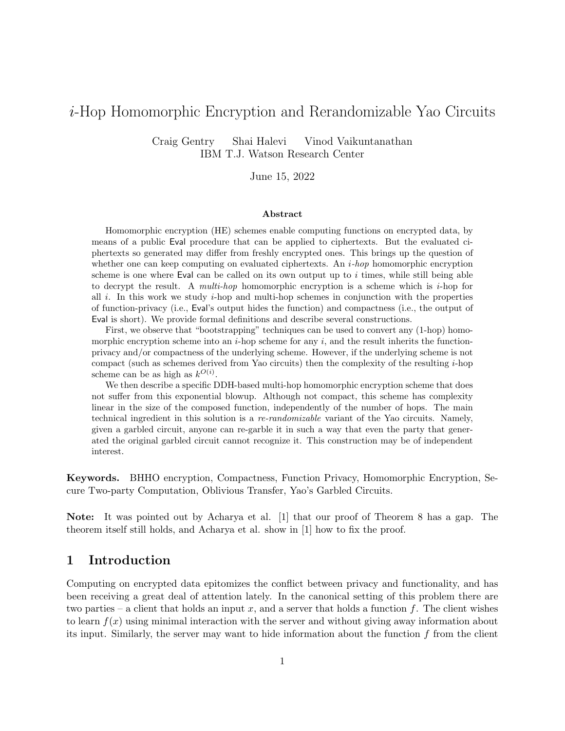# i-Hop Homomorphic Encryption and Rerandomizable Yao Circuits

Craig Gentry Shai Halevi Vinod Vaikuntanathan IBM T.J. Watson Research Center

June 15, 2022

#### Abstract

Homomorphic encryption (HE) schemes enable computing functions on encrypted data, by means of a public Eval procedure that can be applied to ciphertexts. But the evaluated ciphertexts so generated may differ from freshly encrypted ones. This brings up the question of whether one can keep computing on evaluated ciphertexts. An  $i$ -hop homomorphic encryption scheme is one where Eval can be called on its own output up to  $i$  times, while still being able to decrypt the result. A *multi-hop* homomorphic encryption is a scheme which is  $i$ -hop for all i. In this work we study i-hop and multi-hop schemes in conjunction with the properties of function-privacy (i.e., Eval's output hides the function) and compactness (i.e., the output of Eval is short). We provide formal definitions and describe several constructions.

First, we observe that "bootstrapping" techniques can be used to convert any (1-hop) homomorphic encryption scheme into an *i*-hop scheme for any *i*, and the result inherits the functionprivacy and/or compactness of the underlying scheme. However, if the underlying scheme is not compact (such as schemes derived from Yao circuits) then the complexity of the resulting i-hop scheme can be as high as  $k^{O(i)}$ .

We then describe a specific DDH-based multi-hop homomorphic encryption scheme that does not suffer from this exponential blowup. Although not compact, this scheme has complexity linear in the size of the composed function, independently of the number of hops. The main technical ingredient in this solution is a re-randomizable variant of the Yao circuits. Namely, given a garbled circuit, anyone can re-garble it in such a way that even the party that generated the original garbled circuit cannot recognize it. This construction may be of independent interest.

Keywords. BHHO encryption, Compactness, Function Privacy, Homomorphic Encryption, Secure Two-party Computation, Oblivious Transfer, Yao's Garbled Circuits.

Note: It was pointed out by Acharya et al. [1] that our proof of Theorem 8 has a gap. The theorem itself still holds, and Acharya et al. show in [1] how to fix the proof.

# 1 Introduction

Computing on encrypted data epitomizes the conflict between privacy and functionality, and has been receiving a great deal of attention lately. In the canonical setting of this problem there are two parties – a client that holds an input x, and a server that holds a function  $f$ . The client wishes to learn  $f(x)$  using minimal interaction with the server and without giving away information about its input. Similarly, the server may want to hide information about the function  $f$  from the client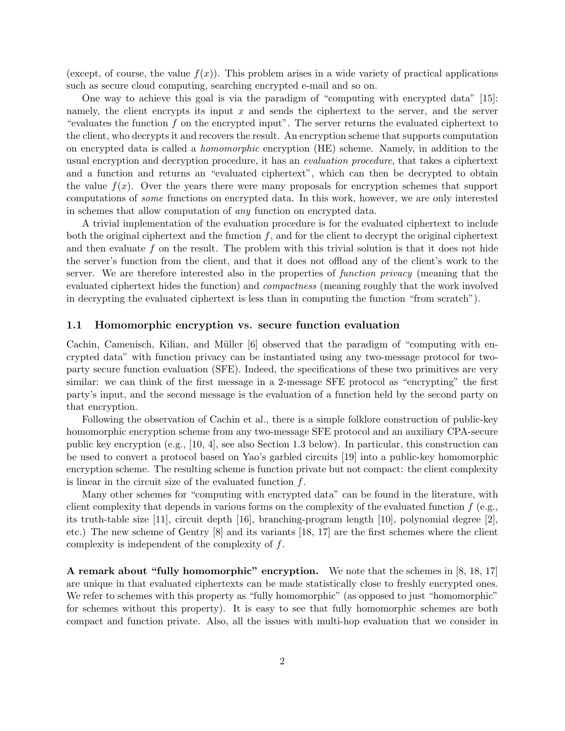(except, of course, the value  $f(x)$ ). This problem arises in a wide variety of practical applications such as secure cloud computing, searching encrypted e-mail and so on.

One way to achieve this goal is via the paradigm of "computing with encrypted data" [15]: namely, the client encrypts its input  $x$  and sends the ciphertext to the server, and the server "evaluates the function  $f$  on the encrypted input". The server returns the evaluated ciphertext to the client, who decrypts it and recovers the result. An encryption scheme that supports computation on encrypted data is called a homomorphic encryption (HE) scheme. Namely, in addition to the usual encryption and decryption procedure, it has an evaluation procedure, that takes a ciphertext and a function and returns an "evaluated ciphertext", which can then be decrypted to obtain the value  $f(x)$ . Over the years there were many proposals for encryption schemes that support computations of some functions on encrypted data. In this work, however, we are only interested in schemes that allow computation of any function on encrypted data.

A trivial implementation of the evaluation procedure is for the evaluated ciphertext to include both the original ciphertext and the function  $f$ , and for the client to decrypt the original ciphertext and then evaluate  $f$  on the result. The problem with this trivial solution is that it does not hide the server's function from the client, and that it does not offload any of the client's work to the server. We are therefore interested also in the properties of function privacy (meaning that the evaluated ciphertext hides the function) and *compactness* (meaning roughly that the work involved in decrypting the evaluated ciphertext is less than in computing the function "from scratch").

### 1.1 Homomorphic encryption vs. secure function evaluation

Cachin, Camenisch, Kilian, and Müller  $[6]$  observed that the paradigm of "computing with encrypted data" with function privacy can be instantiated using any two-message protocol for twoparty secure function evaluation (SFE). Indeed, the specifications of these two primitives are very similar: we can think of the first message in a 2-message SFE protocol as "encrypting" the first party's input, and the second message is the evaluation of a function held by the second party on that encryption.

Following the observation of Cachin et al., there is a simple folklore construction of public-key homomorphic encryption scheme from any two-message SFE protocol and an auxiliary CPA-secure public key encryption (e.g., [10, 4], see also Section 1.3 below). In particular, this construction can be used to convert a protocol based on Yao's garbled circuits [19] into a public-key homomorphic encryption scheme. The resulting scheme is function private but not compact: the client complexity is linear in the circuit size of the evaluated function  $f$ .

Many other schemes for "computing with encrypted data" can be found in the literature, with client complexity that depends in various forms on the complexity of the evaluated function  $f$  (e.g., its truth-table size [11], circuit depth [16], branching-program length [10], polynomial degree [2], etc.) The new scheme of Gentry [8] and its variants [18, 17] are the first schemes where the client complexity is independent of the complexity of f.

A remark about "fully homomorphic" encryption. We note that the schemes in [8, 18, 17] are unique in that evaluated ciphertexts can be made statistically close to freshly encrypted ones. We refer to schemes with this property as "fully homomorphic" (as opposed to just "homomorphic" for schemes without this property). It is easy to see that fully homomorphic schemes are both compact and function private. Also, all the issues with multi-hop evaluation that we consider in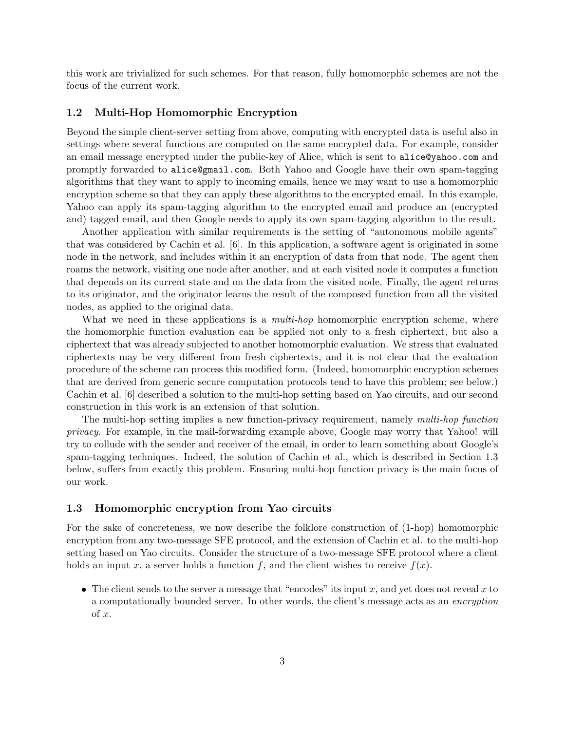this work are trivialized for such schemes. For that reason, fully homomorphic schemes are not the focus of the current work.

### 1.2 Multi-Hop Homomorphic Encryption

Beyond the simple client-server setting from above, computing with encrypted data is useful also in settings where several functions are computed on the same encrypted data. For example, consider an email message encrypted under the public-key of Alice, which is sent to alice@yahoo.com and promptly forwarded to alice@gmail.com. Both Yahoo and Google have their own spam-tagging algorithms that they want to apply to incoming emails, hence we may want to use a homomorphic encryption scheme so that they can apply these algorithms to the encrypted email. In this example, Yahoo can apply its spam-tagging algorithm to the encrypted email and produce an (encrypted and) tagged email, and then Google needs to apply its own spam-tagging algorithm to the result.

Another application with similar requirements is the setting of "autonomous mobile agents" that was considered by Cachin et al. [6]. In this application, a software agent is originated in some node in the network, and includes within it an encryption of data from that node. The agent then roams the network, visiting one node after another, and at each visited node it computes a function that depends on its current state and on the data from the visited node. Finally, the agent returns to its originator, and the originator learns the result of the composed function from all the visited nodes, as applied to the original data.

What we need in these applications is a *multi-hop* homomorphic encryption scheme, where the homomorphic function evaluation can be applied not only to a fresh ciphertext, but also a ciphertext that was already subjected to another homomorphic evaluation. We stress that evaluated ciphertexts may be very different from fresh ciphertexts, and it is not clear that the evaluation procedure of the scheme can process this modified form. (Indeed, homomorphic encryption schemes that are derived from generic secure computation protocols tend to have this problem; see below.) Cachin et al. [6] described a solution to the multi-hop setting based on Yao circuits, and our second construction in this work is an extension of that solution.

The multi-hop setting implies a new function-privacy requirement, namely *multi-hop function* privacy. For example, in the mail-forwarding example above, Google may worry that Yahoo! will try to collude with the sender and receiver of the email, in order to learn something about Google's spam-tagging techniques. Indeed, the solution of Cachin et al., which is described in Section 1.3 below, suffers from exactly this problem. Ensuring multi-hop function privacy is the main focus of our work.

#### 1.3 Homomorphic encryption from Yao circuits

For the sake of concreteness, we now describe the folklore construction of (1-hop) homomorphic encryption from any two-message SFE protocol, and the extension of Cachin et al. to the multi-hop setting based on Yao circuits. Consider the structure of a two-message SFE protocol where a client holds an input x, a server holds a function f, and the client wishes to receive  $f(x)$ .

• The client sends to the server a message that "encodes" its input  $x$ , and yet does not reveal  $x$  to a computationally bounded server. In other words, the client's message acts as an encryption  $of x.$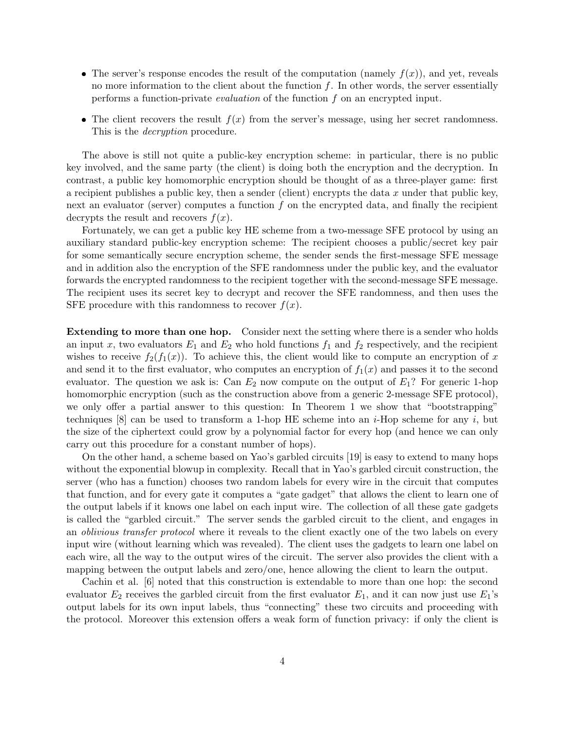- The server's response encodes the result of the computation (namely  $f(x)$ ), and yet, reveals no more information to the client about the function  $f$ . In other words, the server essentially performs a function-private evaluation of the function f on an encrypted input.
- The client recovers the result  $f(x)$  from the server's message, using her secret randomness. This is the decryption procedure.

The above is still not quite a public-key encryption scheme: in particular, there is no public key involved, and the same party (the client) is doing both the encryption and the decryption. In contrast, a public key homomorphic encryption should be thought of as a three-player game: first a recipient publishes a public key, then a sender (client) encrypts the data  $x$  under that public key, next an evaluator (server) computes a function  $f$  on the encrypted data, and finally the recipient decrypts the result and recovers  $f(x)$ .

Fortunately, we can get a public key HE scheme from a two-message SFE protocol by using an auxiliary standard public-key encryption scheme: The recipient chooses a public/secret key pair for some semantically secure encryption scheme, the sender sends the first-message SFE message and in addition also the encryption of the SFE randomness under the public key, and the evaluator forwards the encrypted randomness to the recipient together with the second-message SFE message. The recipient uses its secret key to decrypt and recover the SFE randomness, and then uses the SFE procedure with this randomness to recover  $f(x)$ .

Extending to more than one hop. Consider next the setting where there is a sender who holds an input x, two evaluators  $E_1$  and  $E_2$  who hold functions  $f_1$  and  $f_2$  respectively, and the recipient wishes to receive  $f_2(f_1(x))$ . To achieve this, the client would like to compute an encryption of x and send it to the first evaluator, who computes an encryption of  $f_1(x)$  and passes it to the second evaluator. The question we ask is: Can  $E_2$  now compute on the output of  $E_1$ ? For generic 1-hop homomorphic encryption (such as the construction above from a generic 2-message SFE protocol), we only offer a partial answer to this question: In Theorem 1 we show that "bootstrapping" techniques [8] can be used to transform a 1-hop HE scheme into an  $i$ -Hop scheme for any  $i$ , but the size of the ciphertext could grow by a polynomial factor for every hop (and hence we can only carry out this procedure for a constant number of hops).

On the other hand, a scheme based on Yao's garbled circuits [19] is easy to extend to many hops without the exponential blowup in complexity. Recall that in Yao's garbled circuit construction, the server (who has a function) chooses two random labels for every wire in the circuit that computes that function, and for every gate it computes a "gate gadget" that allows the client to learn one of the output labels if it knows one label on each input wire. The collection of all these gate gadgets is called the "garbled circuit." The server sends the garbled circuit to the client, and engages in an oblivious transfer protocol where it reveals to the client exactly one of the two labels on every input wire (without learning which was revealed). The client uses the gadgets to learn one label on each wire, all the way to the output wires of the circuit. The server also provides the client with a mapping between the output labels and zero/one, hence allowing the client to learn the output.

Cachin et al. [6] noted that this construction is extendable to more than one hop: the second evaluator  $E_2$  receives the garbled circuit from the first evaluator  $E_1$ , and it can now just use  $E_1$ 's output labels for its own input labels, thus "connecting" these two circuits and proceeding with the protocol. Moreover this extension offers a weak form of function privacy: if only the client is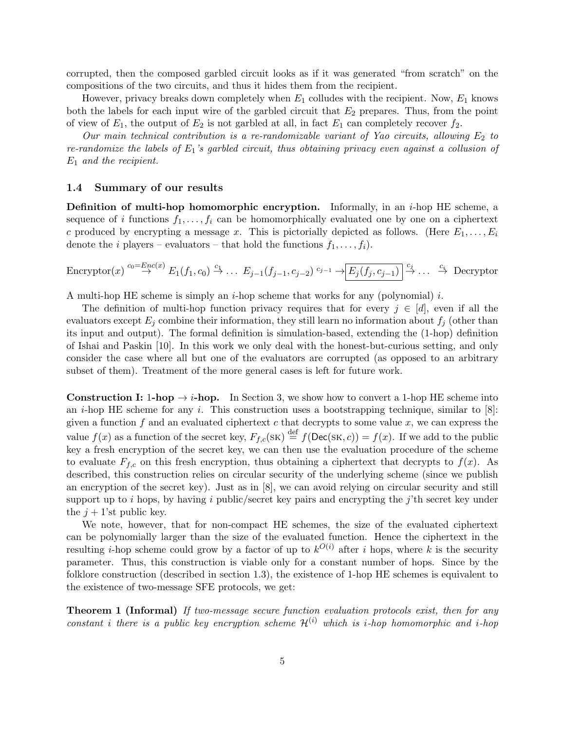corrupted, then the composed garbled circuit looks as if it was generated "from scratch" on the compositions of the two circuits, and thus it hides them from the recipient.

However, privacy breaks down completely when  $E_1$  colludes with the recipient. Now,  $E_1$  knows both the labels for each input wire of the garbled circuit that  $E_2$  prepares. Thus, from the point of view of  $E_1$ , the output of  $E_2$  is not garbled at all, in fact  $E_1$  can completely recover  $f_2$ .

Our main technical contribution is a re-randomizable variant of Yao circuits, allowing  $E_2$  to re-randomize the labels of  $E_1$ 's garbled circuit, thus obtaining privacy even against a collusion of  $E_1$  and the recipient.

#### 1.4 Summary of our results

Definition of multi-hop homomorphic encryption. Informally, in an i-hop HE scheme, a sequence of i functions  $f_1, \ldots, f_i$  can be homomorphically evaluated one by one on a ciphertext c produced by encrypting a message x. This is pictorially depicted as follows. (Here  $E_1, \ldots, E_i$ denote the *i* players – evaluators – that hold the functions  $f_1, \ldots, f_i$ ).

$$
\text{Encryption}(x) \stackrel{c_0 = Enc(x)}{\rightarrow} E_1(f_1, c_0) \stackrel{c_1}{\rightarrow} \dots E_{j-1}(f_{j-1}, c_{j-2}) \stackrel{c_{j-1}}{\rightarrow} \overline{E_j(f_j, c_{j-1})} \stackrel{c_j}{\rightarrow} \dots \stackrel{c_i}{\rightarrow} \text{Decryption}
$$

A multi-hop HE scheme is simply an *i*-hop scheme that works for any (polynomial) *i*.

The definition of multi-hop function privacy requires that for every  $j \in [d]$ , even if all the evaluators except  $E_j$  combine their information, they still learn no information about  $f_j$  (other than its input and output). The formal definition is simulation-based, extending the (1-hop) definition of Ishai and Paskin [10]. In this work we only deal with the honest-but-curious setting, and only consider the case where all but one of the evaluators are corrupted (as opposed to an arbitrary subset of them). Treatment of the more general cases is left for future work.

**Construction I:** 1-hop  $\rightarrow i$ -hop. In Section 3, we show how to convert a 1-hop HE scheme into an *i*-hop HE scheme for any *i*. This construction uses a bootstrapping technique, similar to [8]: given a function f and an evaluated ciphertext c that decrypts to some value  $x$ , we can express the value  $f(x)$  as a function of the secret key,  $F_{f,c}(SK) \stackrel{\text{def}}{=} f(\text{Dec}(SK, c)) = f(x)$ . If we add to the public key a fresh encryption of the secret key, we can then use the evaluation procedure of the scheme to evaluate  $F_{f,c}$  on this fresh encryption, thus obtaining a ciphertext that decrypts to  $f(x)$ . As described, this construction relies on circular security of the underlying scheme (since we publish an encryption of the secret key). Just as in [8], we can avoid relying on circular security and still support up to i hops, by having i public/secret key pairs and encrypting the  $j$ 'th secret key under the  $j + 1$ 'st public key.

We note, however, that for non-compact HE schemes, the size of the evaluated ciphertext can be polynomially larger than the size of the evaluated function. Hence the ciphertext in the resulting *i*-hop scheme could grow by a factor of up to  $k^{O(i)}$  after *i* hops, where k is the security parameter. Thus, this construction is viable only for a constant number of hops. Since by the folklore construction (described in section 1.3), the existence of 1-hop HE schemes is equivalent to the existence of two-message SFE protocols, we get:

Theorem 1 (Informal) If two-message secure function evaluation protocols exist, then for any constant i there is a public key encryption scheme  $\mathcal{H}^{(i)}$  which is *i*-hop homomorphic and *i*-hop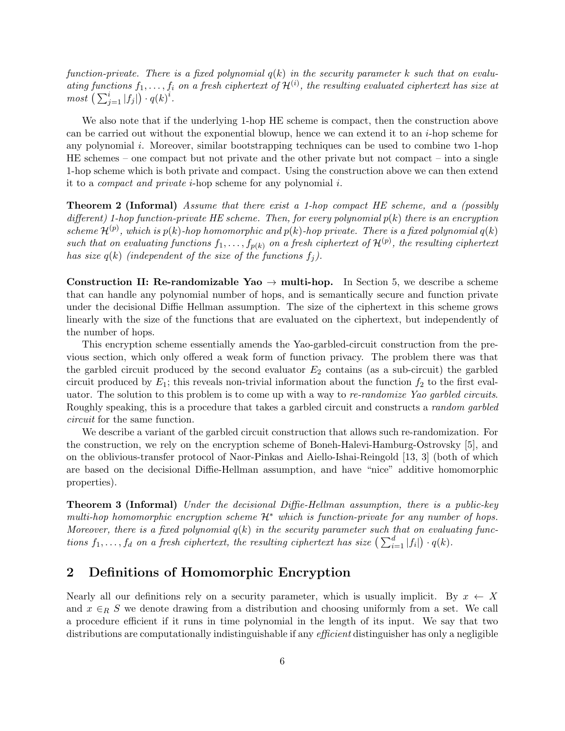function-private. There is a fixed polynomial  $q(k)$  in the security parameter k such that on evaluating functions  $f_1, \ldots, f_i$  on a fresh ciphertext of  $\mathcal{H}^{(i)}$ , the resulting evaluated ciphertext has size at  $most \left(\sum_{j=1}^i |f_j|\right) \cdot q(k)^i.$ 

We also note that if the underlying 1-hop HE scheme is compact, then the construction above can be carried out without the exponential blowup, hence we can extend it to an  $i$ -hop scheme for any polynomial i. Moreover, similar bootstrapping techniques can be used to combine two 1-hop HE schemes – one compact but not private and the other private but not compact – into a single 1-hop scheme which is both private and compact. Using the construction above we can then extend it to a compact and private i-hop scheme for any polynomial i.

Theorem 2 (Informal) Assume that there exist a 1-hop compact HE scheme, and a (possibly different) 1-hop function-private HE scheme. Then, for every polynomial  $p(k)$  there is an encryption scheme  $\mathcal{H}^{(p)}$ , which is  $p(k)$ -hop homomorphic and  $p(k)$ -hop private. There is a fixed polynomial  $q(k)$ such that on evaluating functions  $f_1, \ldots, f_{p(k)}$  on a fresh ciphertext of  $\mathcal{H}^{(p)}$ , the resulting ciphertext has size  $q(k)$  (independent of the size of the functions  $f_i$ ).

Construction II: Re-randomizable Yao  $\rightarrow$  multi-hop. In Section 5, we describe a scheme that can handle any polynomial number of hops, and is semantically secure and function private under the decisional Diffie Hellman assumption. The size of the ciphertext in this scheme grows linearly with the size of the functions that are evaluated on the ciphertext, but independently of the number of hops.

This encryption scheme essentially amends the Yao-garbled-circuit construction from the previous section, which only offered a weak form of function privacy. The problem there was that the garbled circuit produced by the second evaluator  $E_2$  contains (as a sub-circuit) the garbled circuit produced by  $E_1$ ; this reveals non-trivial information about the function  $f_2$  to the first evaluator. The solution to this problem is to come up with a way to re-randomize Yao garbled circuits. Roughly speaking, this is a procedure that takes a garbled circuit and constructs a random garbled circuit for the same function.

We describe a variant of the garbled circuit construction that allows such re-randomization. For the construction, we rely on the encryption scheme of Boneh-Halevi-Hamburg-Ostrovsky [5], and on the oblivious-transfer protocol of Naor-Pinkas and Aiello-Ishai-Reingold [13, 3] (both of which are based on the decisional Diffie-Hellman assumption, and have "nice" additive homomorphic properties).

**Theorem 3 (Informal)** Under the decisional Diffie-Hellman assumption, there is a public-key multi-hop homomorphic encryption scheme  $\mathcal{H}^*$  which is function-private for any number of hops. Moreover, there is a fixed polynomial  $q(k)$  in the security parameter such that on evaluating functions  $f_1, \ldots, f_d$  on a fresh ciphertext, the resulting ciphertext has size  $\left(\sum_{i=1}^d |f_i|\right) \cdot q(k)$ .

# 2 Definitions of Homomorphic Encryption

Nearly all our definitions rely on a security parameter, which is usually implicit. By  $x \leftarrow X$ and  $x \in_R S$  we denote drawing from a distribution and choosing uniformly from a set. We call a procedure efficient if it runs in time polynomial in the length of its input. We say that two distributions are computationally indistinguishable if any *efficient* distinguisher has only a negligible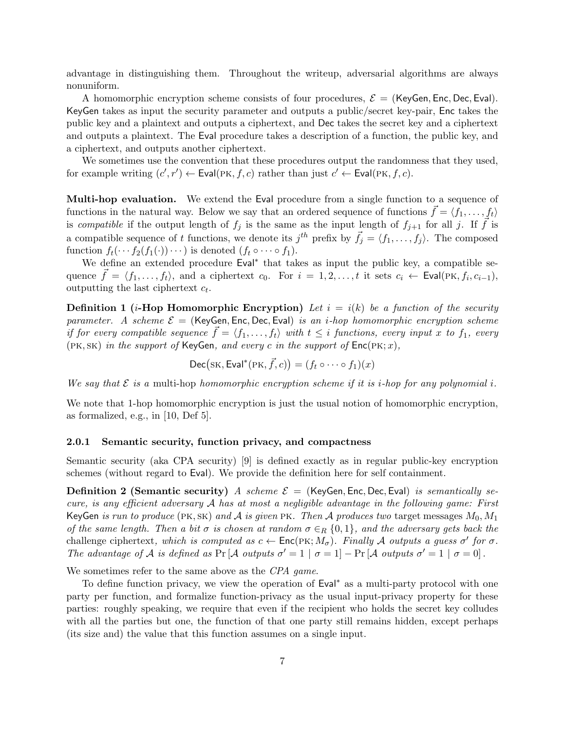advantage in distinguishing them. Throughout the writeup, adversarial algorithms are always nonuniform.

A homomorphic encryption scheme consists of four procedures,  $\mathcal{E} = (KeyGen, Enc, Dec, Exal)$ . KeyGen takes as input the security parameter and outputs a public/secret key-pair, Enc takes the public key and a plaintext and outputs a ciphertext, and Dec takes the secret key and a ciphertext and outputs a plaintext. The Eval procedure takes a description of a function, the public key, and a ciphertext, and outputs another ciphertext.

We sometimes use the convention that these procedures output the randomness that they used, for example writing  $(c', r') \leftarrow \text{Eval}(\text{PK}, f, c)$  rather than just  $c' \leftarrow \text{Eval}(\text{PK}, f, c)$ .

Multi-hop evaluation. We extend the Eval procedure from a single function to a sequence of functions in the natural way. Below we say that an ordered sequence of functions  $\vec{f} = \langle f_1, \ldots, f_t \rangle$ is compatible if the output length of  $f_j$  is the same as the input length of  $f_{j+1}$  for all j. If  $\vec{f}$  is a compatible sequence of t functions, we denote its  $j^{th}$  prefix by  $\vec{f}_j = \langle f_1, \ldots, f_j \rangle$ . The composed function  $f_t(\cdots f_2(f_1(\cdot))\cdots)$  is denoted  $(f_t \circ \cdots \circ f_1)$ .

We define an extended procedure Eval<sup>∗</sup> that takes as input the public key, a compatible sequence  $\vec{f} = \langle f_1, \ldots, f_t \rangle$ , and a ciphertext  $c_0$ . For  $i = 1, 2, \ldots, t$  it sets  $c_i \leftarrow \text{Eval}(\text{PK}, f_i, c_{i-1}),$ outputting the last ciphertext  $c_t$ .

**Definition 1** (*i*-Hop Homomorphic Encryption) Let  $i = i(k)$  be a function of the security parameter. A scheme  $\mathcal{E} =$  (KeyGen, Enc, Dec, Eval) is an *i*-hop homomorphic encryption scheme if for every compatible sequence  $\vec{f} = \langle f_1, \ldots, f_t \rangle$  with  $t \leq i$  functions, every input x to  $f_1$ , every  $(PK, SK)$  in the support of KeyGen, and every c in the support of  $Enc(PK; x)$ ,

$$
\mathsf{Dec}(\mathsf{SK}, \mathsf{Eval}^*(\mathsf{PK}, \vec{f}, c)) = (f_t \circ \cdots \circ f_1)(x)
$$

We say that  $\mathcal E$  is a multi-hop homomorphic encryption scheme if it is *i*-hop for any polynomial *i*.

We note that 1-hop homomorphic encryption is just the usual notion of homomorphic encryption, as formalized, e.g., in [10, Def 5].

#### 2.0.1 Semantic security, function privacy, and compactness

Semantic security (aka CPA security) [9] is defined exactly as in regular public-key encryption schemes (without regard to Eval). We provide the definition here for self containment.

**Definition 2 (Semantic security)** A scheme  $\mathcal{E} =$  (KeyGen, Enc, Dec, Eval) is semantically secure, is any efficient adversary A has at most a negligible advantage in the following game: First KeyGen is run to produce (PK, SK) and A is given PK. Then A produces two target messages  $M_0, M_1$ of the same length. Then a bit  $\sigma$  is chosen at random  $\sigma \in_R \{0,1\}$ , and the adversary gets back the challenge ciphertext, which is computed as  $c \leftarrow \mathsf{Enc}(\mathsf{PK}; M_{\sigma})$ . Finally A outputs a guess  $\sigma'$  for  $\sigma$ . The advantage of A is defined as  $Pr[\mathcal{A}$  outputs  $\sigma' = 1 \mid \sigma = 1] - Pr[\mathcal{A}$  outputs  $\sigma' = 1 \mid \sigma = 0]$ .

We sometimes refer to the same above as the CPA game.

To define function privacy, we view the operation of Eval<sup>∗</sup> as a multi-party protocol with one party per function, and formalize function-privacy as the usual input-privacy property for these parties: roughly speaking, we require that even if the recipient who holds the secret key colludes with all the parties but one, the function of that one party still remains hidden, except perhaps (its size and) the value that this function assumes on a single input.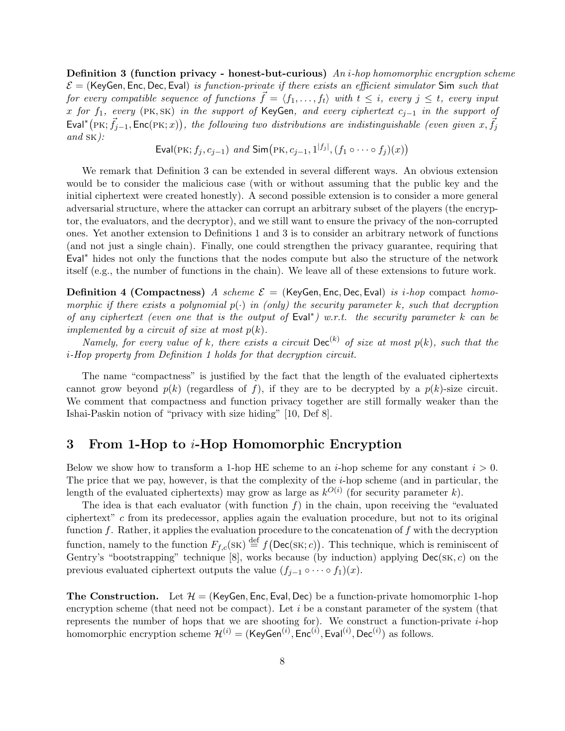**Definition 3 (function privacy - honest-but-curious)** An *i-hop homomorphic encryption scheme*  $\mathcal{E} =$  (KeyGen, Enc, Dec, Eval) is function-private if there exists an efficient simulator Sim such that for every compatible sequence of functions  $\vec{f} = \langle f_1, \ldots, f_t \rangle$  with  $t \leq i$ , every  $j \leq t$ , every input x for f<sub>1</sub>, every (PK, SK) in the support of KeyGen, and every ciphertext  $c_{j-1}$  in the support of Eval<sup>\*</sup> (PK;  $\vec{f}_{j-1}$ , Enc(PK; x)), the following two distributions are indistinguishable (even given x,  $\vec{f}_j$ and  $SK$ ):

Eval(PK;  $f_j, c_{j-1}$ ) and Sim(PK,  $c_{j-1}, 1^{|f_j|}, (f_1 \circ \cdots \circ f_j)(x)$ )

We remark that Definition 3 can be extended in several different ways. An obvious extension would be to consider the malicious case (with or without assuming that the public key and the initial ciphertext were created honestly). A second possible extension is to consider a more general adversarial structure, where the attacker can corrupt an arbitrary subset of the players (the encryptor, the evaluators, and the decryptor), and we still want to ensure the privacy of the non-corrupted ones. Yet another extension to Definitions 1 and 3 is to consider an arbitrary network of functions (and not just a single chain). Finally, one could strengthen the privacy guarantee, requiring that Eval<sup>∗</sup> hides not only the functions that the nodes compute but also the structure of the network itself (e.g., the number of functions in the chain). We leave all of these extensions to future work.

**Definition 4 (Compactness)** A scheme  $\mathcal{E} =$  (KeyGen, Enc, Dec, Eval) is i-hop compact homomorphic if there exists a polynomial  $p(\cdot)$  in (only) the security parameter k, such that decryption of any ciphertext (even one that is the output of Eval<sup>\*</sup>) w.r.t. the security parameter k can be implemented by a circuit of size at most  $p(k)$ .

Namely, for every value of k, there exists a circuit  $\mathsf{Dec}^{(k)}$  of size at most  $p(k)$ , such that the i-Hop property from Definition 1 holds for that decryption circuit.

The name "compactness" is justified by the fact that the length of the evaluated ciphertexts cannot grow beyond  $p(k)$  (regardless of f), if they are to be decrypted by a  $p(k)$ -size circuit. We comment that compactness and function privacy together are still formally weaker than the Ishai-Paskin notion of "privacy with size hiding" [10, Def 8].

# 3 From 1-Hop to i-Hop Homomorphic Encryption

Below we show how to transform a 1-hop HE scheme to an *i*-hop scheme for any constant  $i > 0$ . The price that we pay, however, is that the complexity of the  $i$ -hop scheme (and in particular, the length of the evaluated ciphertexts) may grow as large as  $k^{O(i)}$  (for security parameter k).

The idea is that each evaluator (with function  $f$ ) in the chain, upon receiving the "evaluated ciphertext" c from its predecessor, applies again the evaluation procedure, but not to its original function f. Rather, it applies the evaluation procedure to the concatenation of f with the decryption function, namely to the function  $F_{f,c}(\text{SK}) \stackrel{\text{def}}{=} f(\text{Dec}(\text{SK}; c))$ . This technique, which is reminiscent of Gentry's "bootstrapping" technique [8], works because (by induction) applying  $Dec(SK, c)$  on the previous evaluated ciphertext outputs the value  $(f_{j-1} \circ \cdots \circ f_1)(x)$ .

**The Construction.** Let  $\mathcal{H} = (KeyGen, Enc, Exal, Dec)$  be a function-private homomorphic 1-hop encryption scheme (that need not be compact). Let  $i$  be a constant parameter of the system (that represents the number of hops that we are shooting for). We construct a function-private  $i$ -hop homomorphic encryption scheme  $\mathcal{H}^{(i)} = (\mathsf{KeyGen}^{(i)}, \mathsf{Enc}^{(i)}, \mathsf{Eval}^{(i)}, \mathsf{Dec}^{(i)})$  as follows.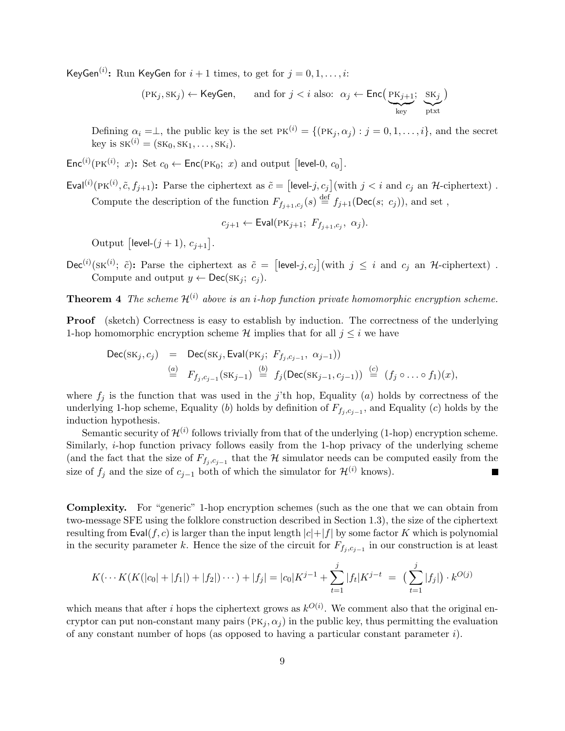KeyGen $^{(i)}$ : Run KeyGen for  $i+1$  times, to get for  $j=0,1,\ldots,i$ :

$$
(\text{PK}_j, \text{SK}_j) \leftarrow \text{KeyGen}, \quad \text{and for } j < i \text{ also: } \alpha_j \leftarrow \text{Enc}\left(\underbrace{\text{PK}_{j+1}}_{\text{key}}; \underbrace{\text{SK}_j}_{\text{ptxt}}\right)
$$

Defining  $\alpha_i = \perp$ , the public key is the set PK<sup>(i)</sup> = {(PK<sub>i</sub>,  $\alpha_j$ ) : j = 0, 1, ..., i}, and the secret key is  $SK^{(i)} = (SK_0, SK_1, \ldots, SK_i).$ 

 $\mathsf{Enc}^{(i)}(\mathrm{PK}^{(i)}; x)$ : Set  $c_0 \leftarrow \mathsf{Enc}(\mathrm{PK}_0; x)$  and output [level-0,  $c_0$ ].

Eval<sup>(i)</sup>(PK<sup>(i)</sup>,  $\tilde{c}$ ,  $f_{j+1}$ ): Parse the ciphertext as  $\tilde{c} =$  [level-j,  $c_j$ ](with  $j < i$  and  $c_j$  an H-ciphertext). Compute the description of the function  $F_{f_{j+1},c_j}(s) \stackrel{\text{def}}{=} f_{j+1}(\text{Dec}(s; c_j))$ , and set,

$$
c_{j+1} \leftarrow \text{Eval}(\text{PK}_{j+1}; \ F_{f_{j+1}, c_j}, \ \alpha_j).
$$

Output [level- $(j + 1), c_{j+1}$ ].

Dec<sup>(i)</sup>(SK<sup>(i)</sup>;  $\tilde{c}$ ): Parse the ciphertext as  $\tilde{c} = \left[$ level-j,  $c_j\right]$ (with  $j \leq i$  and  $c_j$  an H-ciphertext). Compute and output  $y \leftarrow \mathsf{Dec}(\mathsf{SK}_j; c_j)$ .

**Theorem 4** The scheme  $\mathcal{H}^{(i)}$  above is an *i*-hop function private homomorphic encryption scheme.

Proof (sketch) Correctness is easy to establish by induction. The correctness of the underlying 1-hop homomorphic encryption scheme  $\mathcal H$  implies that for all  $j \leq i$  we have

$$
\begin{array}{rcl}\n\text{Dec}(\text{\tiny SK}_j,c_j) &=& \text{Dec}(\text{\tiny SK}_j,\text{Eval}(\text{\tiny PK}_j;\ F_{f_j,c_{j-1}},\ \alpha_{j-1})) \\
&\stackrel{(a)}{=} & F_{f_j,c_{j-1}}(\text{\tiny SK}_{j-1}) \stackrel{(b)}{=} & f_j(\text{Dec}(\text{\tiny SK}_{j-1},c_{j-1})) \stackrel{(c)}{=} & (f_j \circ \ldots \circ f_1)(x),\n\end{array}
$$

where  $f_j$  is the function that was used in the j'th hop, Equality (a) holds by correctness of the underlying 1-hop scheme, Equality (b) holds by definition of  $F_{f_j, c_{j-1}}$ , and Equality (c) holds by the induction hypothesis.

Semantic security of  $\mathcal{H}^{(i)}$  follows trivially from that of the underlying (1-hop) encryption scheme. Similarly, *i*-hop function privacy follows easily from the 1-hop privacy of the underlying scheme (and the fact that the size of  $F_{f_j, c_{j-1}}$  that the H simulator needs can be computed easily from the size of  $f_i$  and the size of  $c_{i-1}$  both of which the simulator for  $\mathcal{H}^{(i)}$  knows).

Complexity. For "generic" 1-hop encryption schemes (such as the one that we can obtain from two-message SFE using the folklore construction described in Section 1.3), the size of the ciphertext resulting from  $\textsf{Eval}(f, c)$  is larger than the input length  $|c|+|f|$  by some factor K which is polynomial in the security parameter k. Hence the size of the circuit for  $F_{f_j, c_{j-1}}$  in our construction is at least

$$
K(\cdots K(K(|c_0|+|f_1|)+|f_2|)\cdots)+|f_j|=|c_0|K^{j-1}+\sum_{t=1}^j|f_t|K^{j-t} = \Big(\sum_{t=1}^j|f_j|\Big)\cdot k^{O(j)}
$$

which means that after i hops the ciphertext grows as  $k^{O(i)}$ . We comment also that the original encryptor can put non-constant many pairs  $(PK_i, \alpha_i)$  in the public key, thus permitting the evaluation of any constant number of hops (as opposed to having a particular constant parameter  $i$ ).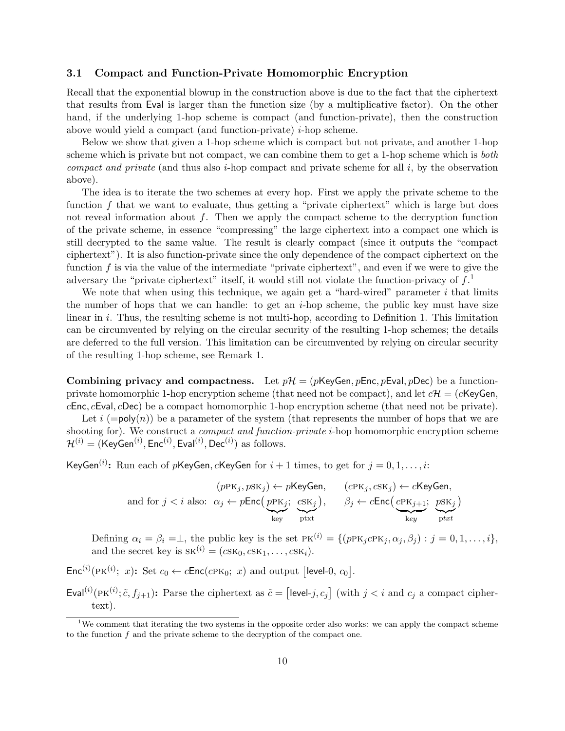### 3.1 Compact and Function-Private Homomorphic Encryption

Recall that the exponential blowup in the construction above is due to the fact that the ciphertext that results from Eval is larger than the function size (by a multiplicative factor). On the other hand, if the underlying 1-hop scheme is compact (and function-private), then the construction above would yield a compact (and function-private)  $i$ -hop scheme.

Below we show that given a 1-hop scheme which is compact but not private, and another 1-hop scheme which is private but not compact, we can combine them to get a 1-hop scheme which is *both compact and private* (and thus also *i*-hop compact and private scheme for all  $i$ , by the observation above).

The idea is to iterate the two schemes at every hop. First we apply the private scheme to the function  $f$  that we want to evaluate, thus getting a "private ciphertext" which is large but does not reveal information about  $f$ . Then we apply the compact scheme to the decryption function of the private scheme, in essence "compressing" the large ciphertext into a compact one which is still decrypted to the same value. The result is clearly compact (since it outputs the "compact ciphertext"). It is also function-private since the only dependence of the compact ciphertext on the function  $f$  is via the value of the intermediate "private ciphertext", and even if we were to give the adversary the "private ciphertext" itself, it would still not violate the function-privacy of  $f<sup>1</sup>$ 

We note that when using this technique, we again get a "hard-wired" parameter  $i$  that limits the number of hops that we can handle: to get an  $i$ -hop scheme, the public key must have size linear in i. Thus, the resulting scheme is not multi-hop, according to Definition 1. This limitation can be circumvented by relying on the circular security of the resulting 1-hop schemes; the details are deferred to the full version. This limitation can be circumvented by relying on circular security of the resulting 1-hop scheme, see Remark 1.

Combining privacy and compactness. Let  $p\mathcal{H} = (pKeyGen, pEnc, pEval, pDec)$  be a functionprivate homomorphic 1-hop encryption scheme (that need not be compact), and let  $cH = (cKeyGen,$  $c\text{Enc}, c\text{Eval}, c\text{Dec}$ ) be a compact homomorphic 1-hop encryption scheme (that need not be private).

Let  $i$  (=poly(n)) be a parameter of the system (that represents the number of hops that we are shooting for). We construct a *compact and function-private i*-hop homomorphic encryption scheme  $\mathcal{H}^{(i)} = (\mathsf{KeyGen}^{(i)}, \mathsf{Enc}^{(i)}, \mathsf{Eval}^{(i)}, \mathsf{Dec}^{(i)})$  as follows.

KeyGen $^{(i)}$ : Run each of pKeyGen, cKeyGen for  $i+1$  times, to get for  $j=0,1,\ldots,i$ :

$$
(p\text{-rk}_j, p\text{-rk}_j) \leftarrow p\text{KeyGen}, \quad (c\text{-rk}_j, c\text{-rk}_j) \leftarrow c\text{KeyGen},
$$
 and for  $j < i$  also:  $\alpha_j \leftarrow p\text{-Enc}\left(\underbrace{p\text{-rk}_j}_{\text{key}}, \underbrace{c\text{-rk}_j}_{\text{ptxt}}\right), \quad \beta_j \leftarrow c\text{-Enc}\left(\underbrace{c\text{-rk}_{j+1}}_{\text{key}}, \underbrace{p\text{-rk}_j}_{\text{ptxt}}\right)$ 

Defining  $\alpha_i = \beta_i = \perp$ , the public key is the set  $PK^{(i)} = \{(pPK_j \cap FK_j, \alpha_j, \beta_j) : j = 0, 1, \ldots, i\},\$ and the secret key is  $SK^{(i)} = (cSK_0, cSK_1, \ldots, cSK_i).$ 

 $\mathsf{Enc}^{(i)}(\mathrm{PK}^{(i)}; x)$ : Set  $c_0 \leftarrow c \mathsf{Enc}(c \in \mathrm{KK}_0; x)$  and output  $\lceil \mathsf{level-0}, c_0 \rceil$ .

Eval<sup>(i)</sup>(PK<sup>(i)</sup>;  $\tilde{c}$ ,  $f_{j+1}$ ): Parse the ciphertext as  $\tilde{c} =$  [level-j,  $c_j$ ] (with  $j < i$  and  $c_j$  a compact ciphertext).

<sup>&</sup>lt;sup>1</sup>We comment that iterating the two systems in the opposite order also works: we can apply the compact scheme to the function  $f$  and the private scheme to the decryption of the compact one.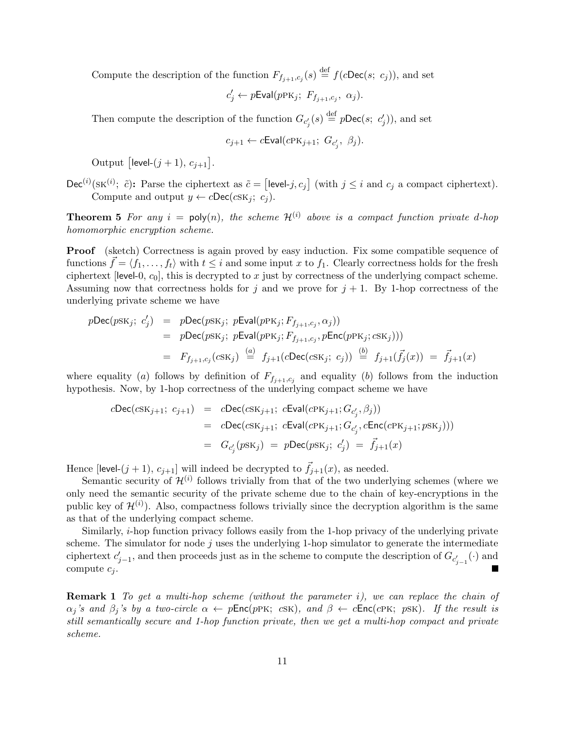Compute the description of the function  $F_{f_{j+1},c_j}(s) \stackrel{\text{def}}{=} f(c\text{Dec}(s; c_j))$ , and set

$$
c'_{j} \leftarrow p\text{Eval}(p\text{PK}_{j};\ F_{f_{j+1},c_{j}},\ \alpha_{j}).
$$

Then compute the description of the function  $G_{c_j'}(s) \stackrel{\text{def}}{=} p\text{Dec}(s; c_j'))$ , and set

$$
c_{j+1} \leftarrow c \text{Eval}(c \text{PK}_{j+1}; \ G_{c'_j}, \ \beta_j).
$$

Output [level- $(j + 1), c_{j+1}$ ].

Dec<sup>(i)</sup>(SK<sup>(i)</sup>;  $\tilde{c}$ ): Parse the ciphertext as  $\tilde{c} =$  [level-j, c<sub>j</sub>] (with  $j \leq i$  and c<sub>j</sub> a compact ciphertext). Compute and output  $y \leftarrow c\text{Dec}(cS_{i}; c_{j}).$ 

**Theorem 5** For any  $i = \text{poly}(n)$ , the scheme  $\mathcal{H}^{(i)}$  above is a compact function private d-hop homomorphic encryption scheme.

Proof (sketch) Correctness is again proved by easy induction. Fix some compatible sequence of functions  $\vec{f} = \langle f_1, \ldots, f_t \rangle$  with  $t \leq i$  and some input x to  $f_1$ . Clearly correctness holds for the fresh ciphertext [level-0,  $c_0$ ], this is decrypted to x just by correctness of the underlying compact scheme. Assuming now that correctness holds for j and we prove for  $j + 1$ . By 1-hop correctness of the underlying private scheme we have

$$
p\text{Dec}(p\text{SK}_j; c'_j) = p\text{Dec}(p\text{SK}_j; p\text{Eval}(p\text{PK}_j; F_{f_{j+1},c_j}, \alpha_j))
$$
  
\n
$$
= p\text{Dec}(p\text{SK}_j; p\text{Eval}(p\text{PK}_j; F_{f_{j+1},c_j}, p\text{Enc}(p\text{PK}_j; c\text{SK}_j)))
$$
  
\n
$$
= F_{f_{j+1},c_j}(c\text{SK}_j) \stackrel{(a)}{=} f_{j+1}(c\text{Dec}(c\text{SK}_j; c_j)) \stackrel{(b)}{=} f_{j+1}(\vec{f}_j(x)) = \vec{f}_{j+1}(x)
$$

where equality (a) follows by definition of  $F_{f_{j+1},c_j}$  and equality (b) follows from the induction hypothesis. Now, by 1-hop correctness of the underlying compact scheme we have

$$
c\text{Dec}(c\text{SK}_{j+1}; c_{j+1}) = c\text{Dec}(c\text{SK}_{j+1}; c\text{Eval}(c\text{PK}_{j+1}; G_{c'_j}, \beta_j))
$$
  
= 
$$
c\text{Dec}(c\text{SK}_{j+1}; c\text{Eval}(c\text{PK}_{j+1}; G_{c'_j}, c\text{Enc}(c\text{PK}_{j+1}; p\text{SK}_j)))
$$
  
= 
$$
G_{c'_j}(p\text{SK}_j) = p\text{Dec}(p\text{SK}_j; c'_j) = \vec{f}_{j+1}(x)
$$

Hence [level- $(j + 1)$ ,  $c_{j+1}$ ] will indeed be decrypted to  $\vec{f}_{j+1}(x)$ , as needed.

Semantic security of  $\mathcal{H}^{(i)}$  follows trivially from that of the two underlying schemes (where we only need the semantic security of the private scheme due to the chain of key-encryptions in the public key of  $\mathcal{H}^{(i)}$ ). Also, compactness follows trivially since the decryption algorithm is the same as that of the underlying compact scheme.

Similarly, i-hop function privacy follows easily from the 1-hop privacy of the underlying private scheme. The simulator for node j uses the underlying 1-hop simulator to generate the intermediate ciphertext  $c'_{j-1}$ , and then proceeds just as in the scheme to compute the description of  $G_{c'_{j-1}}(\cdot)$  and compute  $c_i$ .

**Remark 1** To get a multi-hop scheme (without the parameter  $i$ ), we can replace the chain of  $\alpha_j$ 's and  $\beta_j$ 's by a two-circle  $\alpha \leftarrow p\text{Enc}(p\text{PK}; \text{cSK})$ , and  $\beta \leftarrow c\text{Enc}(c\text{PK}; \text{pSK})$ . If the result is still semantically secure and 1-hop function private, then we get a multi-hop compact and private scheme.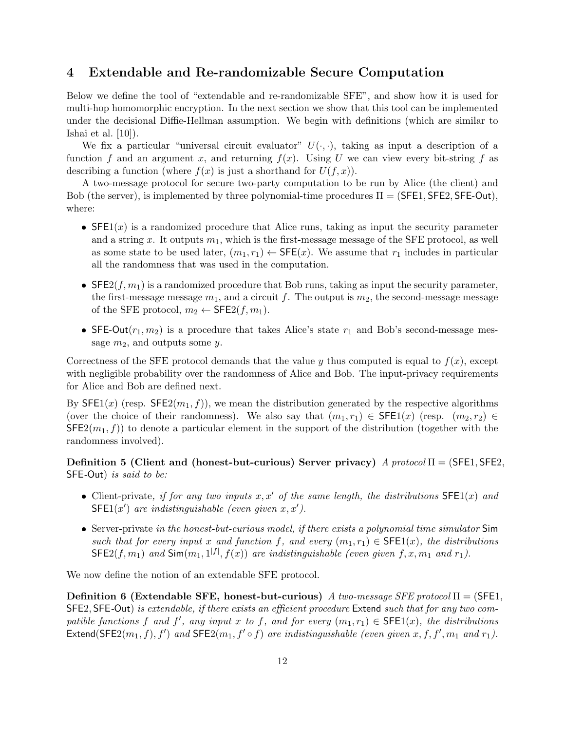# 4 Extendable and Re-randomizable Secure Computation

Below we define the tool of "extendable and re-randomizable SFE", and show how it is used for multi-hop homomorphic encryption. In the next section we show that this tool can be implemented under the decisional Diffie-Hellman assumption. We begin with definitions (which are similar to Ishai et al. [10]).

We fix a particular "universal circuit evaluator"  $U(\cdot, \cdot)$ , taking as input a description of a function f and an argument x, and returning  $f(x)$ . Using U we can view every bit-string f as describing a function (where  $f(x)$  is just a shorthand for  $U(f, x)$ ).

A two-message protocol for secure two-party computation to be run by Alice (the client) and Bob (the server), is implemented by three polynomial-time procedures  $\Pi = (SFE1, SFE2, SFE-Out)$ , where:

- SFE1(x) is a randomized procedure that Alice runs, taking as input the security parameter and a string x. It outputs  $m_1$ , which is the first-message message of the SFE protocol, as well as some state to be used later,  $(m_1, r_1) \leftarrow$  SFE(x). We assume that  $r_1$  includes in particular all the randomness that was used in the computation.
- SFE2( $f, m_1$ ) is a randomized procedure that Bob runs, taking as input the security parameter, the first-message message  $m_1$ , and a circuit f. The output is  $m_2$ , the second-message message of the SFE protocol,  $m_2 \leftarrow$  SFE2(f,  $m_1$ ).
- SFE-Out $(r_1, m_2)$  is a procedure that takes Alice's state  $r_1$  and Bob's second-message message  $m_2$ , and outputs some y.

Correctness of the SFE protocol demands that the value y thus computed is equal to  $f(x)$ , except with negligible probability over the randomness of Alice and Bob. The input-privacy requirements for Alice and Bob are defined next.

By  $SFE1(x)$  (resp.  $SFE2(m_1, f)$ ), we mean the distribution generated by the respective algorithms (over the choice of their randomness). We also say that  $(m_1, r_1) \in \mathsf{SFE1}(x)$  (resp.  $(m_2, r_2) \in$  $SFE2(m_1, f)$ ) to denote a particular element in the support of the distribution (together with the randomness involved).

Definition 5 (Client and (honest-but-curious) Server privacy) A protocol Π = (SFE1, SFE2, SFE-Out) is said to be:

- Client-private, if for any two inputs  $x, x'$  of the same length, the distributions  $SFE1(x)$  and  $SFE1(x')$  are indistinguishable (even given x, x').
- $\bullet$  Server-private in the honest-but-curious model, if there exists a polynomial time simulator Sim such that for every input x and function f, and every  $(m_1, r_1) \in \mathsf{SFE1}(x)$ , the distributions  $SFE2(f, m_1)$  and  $Sim(m_1, 1^{|f|}, f(x))$  are indistinguishable (even given  $f, x, m_1$  and  $r_1$ ).

We now define the notion of an extendable SFE protocol.

Definition 6 (Extendable SFE, honest-but-curious) A two-message SFE protocol Π = (SFE1, SFE2, SFE-Out) is extendable, if there exists an efficient procedure Extend such that for any two compatible functions f and f', any input x to f, and for every  $(m_1, r_1) \in \mathsf{SFE1}(x)$ , the distributions Extend(SFE2 $(m_1, f), f'$ ) and SFE2 $(m_1, f' \circ f)$  are indistinguishable (even given x, f, f',  $m_1$  and  $r_1$ ).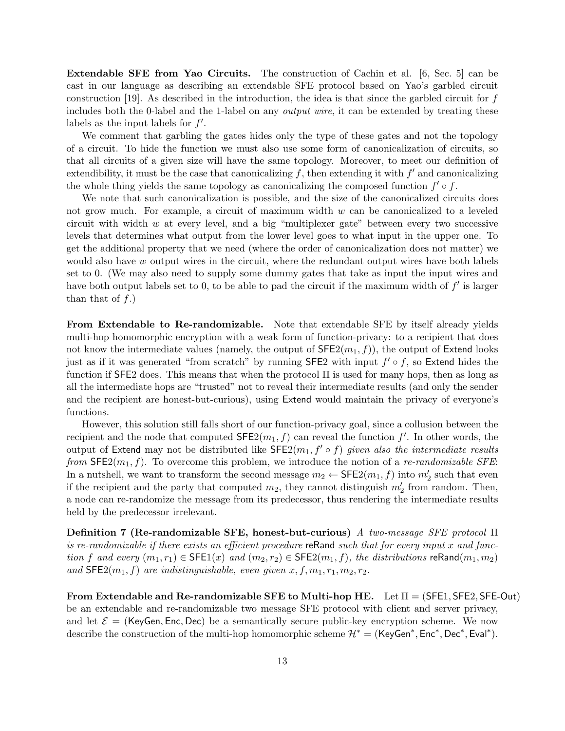Extendable SFE from Yao Circuits. The construction of Cachin et al. [6, Sec. 5] can be cast in our language as describing an extendable SFE protocol based on Yao's garbled circuit construction [19]. As described in the introduction, the idea is that since the garbled circuit for  $f$ includes both the 0-label and the 1-label on any *output wire*, it can be extended by treating these labels as the input labels for  $f'$ .

We comment that garbling the gates hides only the type of these gates and not the topology of a circuit. To hide the function we must also use some form of canonicalization of circuits, so that all circuits of a given size will have the same topology. Moreover, to meet our definition of extendibility, it must be the case that canonicalizing  $f$ , then extending it with  $f'$  and canonicalizing the whole thing yields the same topology as canonicalizing the composed function  $f' \circ f$ .

We note that such canonicalization is possible, and the size of the canonicalized circuits does not grow much. For example, a circuit of maximum width w can be canonicalized to a leveled circuit with width  $w$  at every level, and a big "multiplexer gate" between every two successive levels that determines what output from the lower level goes to what input in the upper one. To get the additional property that we need (where the order of canonicalization does not matter) we would also have  $w$  output wires in the circuit, where the redundant output wires have both labels set to 0. (We may also need to supply some dummy gates that take as input the input wires and have both output labels set to 0, to be able to pad the circuit if the maximum width of  $f'$  is larger than that of  $f$ .)

From Extendable to Re-randomizable. Note that extendable SFE by itself already yields multi-hop homomorphic encryption with a weak form of function-privacy: to a recipient that does not know the intermediate values (namely, the output of  $SFE2(m_1, f)$ ), the output of Extend looks just as if it was generated "from scratch" by running SFE2 with input  $f' \circ f$ , so Extend hides the function if  $SFE2$  does. This means that when the protocol  $\Pi$  is used for many hops, then as long as all the intermediate hops are "trusted" not to reveal their intermediate results (and only the sender and the recipient are honest-but-curious), using Extend would maintain the privacy of everyone's functions.

However, this solution still falls short of our function-privacy goal, since a collusion between the recipient and the node that computed  $SFE2(m_1, f)$  can reveal the function  $f'$ . In other words, the output of Extend may not be distributed like  $SFE2(m_1, f' \circ f)$  given also the intermediate results from  $\mathsf{SFE2}(m_1, f)$ . To overcome this problem, we introduce the notion of a *re-randomizable SFE*: In a nutshell, we want to transform the second message  $m_2 \leftarrow$  SFE2 $(m_1, f)$  into  $m'_2$  such that even if the recipient and the party that computed  $m_2$ , they cannot distinguish  $m'_2$  from random. Then, a node can re-randomize the message from its predecessor, thus rendering the intermediate results held by the predecessor irrelevant.

Definition 7 (Re-randomizable SFE, honest-but-curious) A two-message SFE protocol  $\Pi$ is re-randomizable if there exists an efficient procedure reRand such that for every input x and function f and every  $(m_1, r_1) \in \text{SFE1}(x)$  and  $(m_2, r_2) \in \text{SFE2}(m_1, f)$ , the distributions reRand $(m_1, m_2)$ and  $SFE2(m_1, f)$  are indistinguishable, even given x, f,  $m_1, r_1, m_2, r_2$ .

From Extendable and Re-randomizable SFE to Multi-hop HE. Let  $\Pi = (SFE1, SFE2, SFE-Out)$ be an extendable and re-randomizable two message SFE protocol with client and server privacy, and let  $\mathcal{E} = (KeyGen, Enc, Dec)$  be a semantically secure public-key encryption scheme. We now describe the construction of the multi-hop homomorphic scheme  $\mathcal{H}^* =$  (KeyGen<sup>\*</sup>, Enc<sup>\*</sup>, Dec<sup>\*</sup>, Eval<sup>\*</sup>).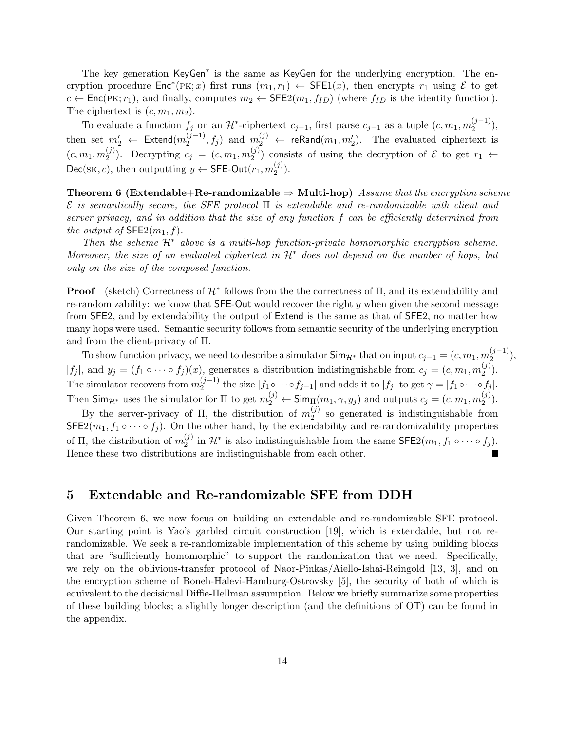The key generation KeyGen<sup>\*</sup> is the same as KeyGen for the underlying encryption. The encryption procedure  $Enc^*(PK; x)$  first runs  $(m_1, r_1) \leftarrow$  SFE1 $(x)$ , then encrypts  $r_1$  using  $\mathcal E$  to get  $c \leftarrow \mathsf{Enc}(\mathrm{PK}; r_1)$ , and finally, computes  $m_2 \leftarrow \mathsf{SFE2}(m_1, f_{ID})$  (where  $f_{ID}$  is the identity function). The ciphertext is  $(c, m_1, m_2)$ .

To evaluate a function  $f_j$  on an  $\mathcal{H}^*$ -ciphertext  $c_{j-1}$ , first parse  $c_{j-1}$  as a tuple  $(c, m_1, m_2^{(j-1)})$  $\binom{(J-1)}{2},$ then set  $m'_2 \leftarrow \textsf{Extend}(m_2^{(j-1)})$  $\mathcal{L}^{(j-1)}_2, f_j)$  and  $m_2^{(j)} \leftarrow \textsf{reRand}(m_1,m_2').$  The evaluated ciphertext is  $(c, m_1, m_2^{(j)})$ (i) Decrypting  $c_j = (c, m_1, m_2^{(j)})$  $2^{(1)}$  consists of using the decryption of  $\mathcal{E}$  to get  $r_1 \leftarrow$ Dec(SK, c), then outputting  $y \leftarrow$  SFE-Out( $r_1, m_2^{(j)}$  $_{2}^{(J)}).$ 

**Theorem 6 (Extendable+Re-randomizable**  $\Rightarrow$  **Multi-hop)** Assume that the encryption scheme  $\mathcal E$  is semantically secure, the SFE protocol  $\Pi$  is extendable and re-randomizable with client and server privacy, and in addition that the size of any function f can be efficiently determined from the output of  $SFE2(m_1, f)$ .

Then the scheme  $\mathcal{H}^*$  above is a multi-hop function-private homomorphic encryption scheme. Moreover, the size of an evaluated ciphertext in  $\mathcal{H}^*$  does not depend on the number of hops, but only on the size of the composed function.

**Proof** (sketch) Correctness of  $\mathcal{H}^*$  follows from the the correctness of  $\Pi$ , and its extendability and re-randomizability: we know that  $SFE-Out$  would recover the right y when given the second message from SFE2, and by extendability the output of Extend is the same as that of SFE2, no matter how many hops were used. Semantic security follows from semantic security of the underlying encryption and from the client-privacy of Π.

To show function privacy, we need to describe a simulator  $\mathsf{Sim}_{\mathcal{H}^*}$  that on input  $c_{j-1} = (c, m_1, m_2^{(j-1)})$  $\binom{(J-1)}{2},$  $|f_j|$ , and  $y_j = (f_1 \circ \cdots \circ f_j)(x)$ , generates a distribution indistinguishable from  $c_j = (c, m_1, m_2^{(j)})$  $\binom{J}{2}$ . The simulator recovers from  $m_2^{(j-1)}$  $\mathcal{L}_2^{(j-1)}$  the size  $|f_1 \circ \cdots \circ f_{j-1}|$  and adds it to  $|f_j|$  to get  $\gamma = |f_1 \circ \cdots \circ f_j|$ . Then  $\mathsf{Sim}_{\mathcal{H}^*}$  uses the simulator for  $\Pi$  to get  $m_2^{(j)} \leftarrow \mathsf{Sim}_{\Pi}(m_1, \gamma, y_j)$  and outputs  $c_j = (c, m_1, m_2^{(j)})$  $\binom{J}{2}$ .

By the server-privacy of  $\Pi$ , the distribution of  $m_2^{(j)}$  $_2^{(j)}$  so generated is indistinguishable from  $SFE2(m_1, f_1 \circ \cdots \circ f_i)$ . On the other hand, by the extendability and re-randomizability properties of  $\Pi$ , the distribution of  $m_2^{(j)}$  $\mathcal{H}^*$  is also indistinguishable from the same SFE2( $m_1, f_1 \circ \cdots \circ f_j$ ). Hence these two distributions are indistinguishable from each other.

### 5 Extendable and Re-randomizable SFE from DDH

Given Theorem 6, we now focus on building an extendable and re-randomizable SFE protocol. Our starting point is Yao's garbled circuit construction [19], which is extendable, but not rerandomizable. We seek a re-randomizable implementation of this scheme by using building blocks that are "sufficiently homomorphic" to support the randomization that we need. Specifically, we rely on the oblivious-transfer protocol of Naor-Pinkas/Aiello-Ishai-Reingold [13, 3], and on the encryption scheme of Boneh-Halevi-Hamburg-Ostrovsky [5], the security of both of which is equivalent to the decisional Diffie-Hellman assumption. Below we briefly summarize some properties of these building blocks; a slightly longer description (and the definitions of OT) can be found in the appendix.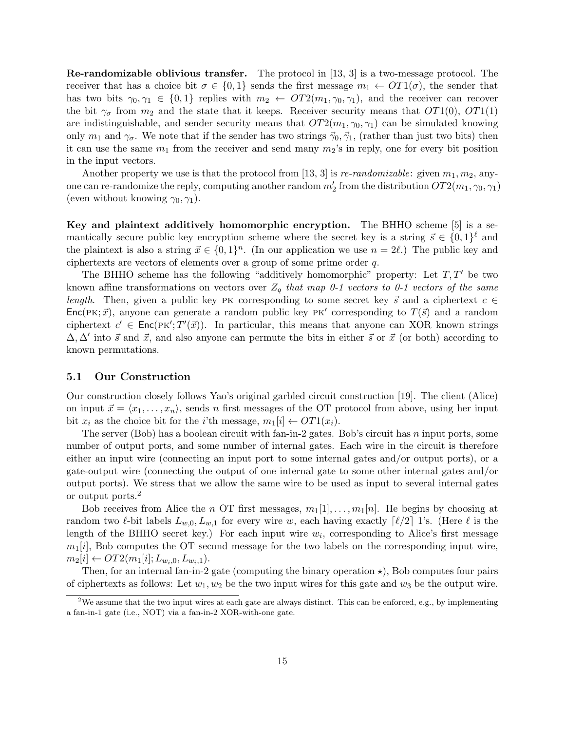**Re-randomizable oblivious transfer.** The protocol in [13, 3] is a two-message protocol. The receiver that has a choice bit  $\sigma \in \{0,1\}$  sends the first message  $m_1 \leftarrow OT1(\sigma)$ , the sender that has two bits  $\gamma_0, \gamma_1 \in \{0, 1\}$  replies with  $m_2 \leftarrow OT2(m_1, \gamma_0, \gamma_1)$ , and the receiver can recover the bit  $\gamma_{\sigma}$  from  $m_2$  and the state that it keeps. Receiver security means that  $OT1(0)$ ,  $OT1(1)$ are indistinguishable, and sender security means that  $OT2(m_1, \gamma_0, \gamma_1)$  can be simulated knowing only  $m_1$  and  $\gamma_\sigma$ . We note that if the sender has two strings  $\vec{\gamma}_0$ ,  $\vec{\gamma}_1$ , (rather than just two bits) then it can use the same  $m_1$  from the receiver and send many  $m_2$ 's in reply, one for every bit position in the input vectors.

Another property we use is that the protocol from [13, 3] is *re-randomizable:* given  $m_1, m_2$ , anyone can re-randomize the reply, computing another random  $m'_2$  from the distribution  $OT2(m_1, \gamma_0, \gamma_1)$ (even without knowing  $\gamma_0, \gamma_1$ ).

Key and plaintext additively homomorphic encryption. The BHHO scheme [5] is a semantically secure public key encryption scheme where the secret key is a string  $\vec{s} \in \{0,1\}^{\ell}$  and the plaintext is also a string  $\vec{x} \in \{0, 1\}^n$ . (In our application we use  $n = 2\ell$ .) The public key and ciphertexts are vectors of elements over a group of some prime order q.

The BHHO scheme has the following "additively homomorphic" property: Let  $T, T'$  be two known affine transformations on vectors over  $Z_q$  that map 0-1 vectors to 0-1 vectors of the same length. Then, given a public key PK corresponding to some secret key  $\vec{s}$  and a ciphertext  $c \in$ Enc(PK;  $\vec{x}$ ), anyone can generate a random public key PK' corresponding to  $T(\vec{s})$  and a random ciphertext  $c' \in \text{Enc}(\text{PK}'; T'(\vec{x}))$ . In particular, this means that anyone can XOR known strings  $\Delta, \Delta'$  into  $\vec{s}$  and  $\vec{x}$ , and also anyone can permute the bits in either  $\vec{s}$  or  $\vec{x}$  (or both) according to known permutations.

#### 5.1 Our Construction

Our construction closely follows Yao's original garbled circuit construction [19]. The client (Alice) on input  $\vec{x} = \langle x_1, \ldots, x_n \rangle$ , sends n first messages of the OT protocol from above, using her input bit  $x_i$  as the choice bit for the i'th message,  $m_1[i] \leftarrow OT1(x_i)$ .

The server (Bob) has a boolean circuit with fan-in-2 gates. Bob's circuit has  $n$  input ports, some number of output ports, and some number of internal gates. Each wire in the circuit is therefore either an input wire (connecting an input port to some internal gates and/or output ports), or a gate-output wire (connecting the output of one internal gate to some other internal gates and/or output ports). We stress that we allow the same wire to be used as input to several internal gates or output ports.<sup>2</sup>

Bob receives from Alice the n OT first messages,  $m_1[1], \ldots, m_1[n]$ . He begins by choosing at random two  $\ell$ -bit labels  $L_{w,0}, L_{w,1}$  for every wire w, each having exactly  $\lceil \ell/2 \rceil$  1's. (Here  $\ell$  is the length of the BHHO secret key.) For each input wire  $w_i$ , corresponding to Alice's first message  $m_1[i]$ , Bob computes the OT second message for the two labels on the corresponding input wire,  $m_2[i] \leftarrow OT2(m_1[i]; L_{w_i,0}, L_{w_i,1}).$ 

Then, for an internal fan-in-2 gate (computing the binary operation  $\star$ ), Bob computes four pairs of ciphertexts as follows: Let  $w_1, w_2$  be the two input wires for this gate and  $w_3$  be the output wire.

<sup>&</sup>lt;sup>2</sup>We assume that the two input wires at each gate are always distinct. This can be enforced, e.g., by implementing a fan-in-1 gate (i.e., NOT) via a fan-in-2 XOR-with-one gate.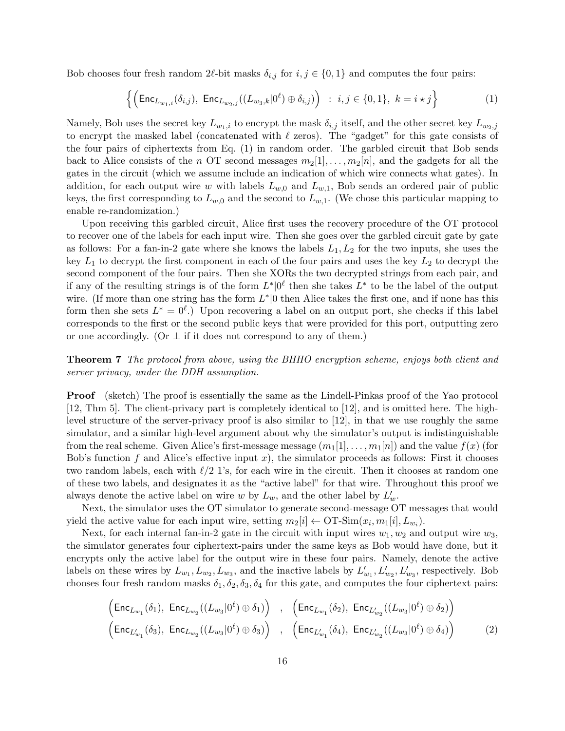Bob chooses four fresh random  $2\ell$ -bit masks  $\delta_{i,j}$  for  $i, j \in \{0, 1\}$  and computes the four pairs:

$$
\left\{ \left( \text{Enc}_{L_{w_1,i}}(\delta_{i,j}), \ \text{Enc}_{L_{w_2,j}}((L_{w_3,k}|0^{\ell}) \oplus \delta_{i,j}) \right) \ : \ i,j \in \{0,1\}, \ k = i \star j \right\}
$$
 (1)

Namely, Bob uses the secret key  $L_{w_1,i}$  to encrypt the mask  $\delta_{i,j}$  itself, and the other secret key  $L_{w_2,j}$ to encrypt the masked label (concatenated with  $\ell$  zeros). The "gadget" for this gate consists of the four pairs of ciphertexts from Eq. (1) in random order. The garbled circuit that Bob sends back to Alice consists of the n OT second messages  $m_2[1], \ldots, m_2[n]$ , and the gadgets for all the gates in the circuit (which we assume include an indication of which wire connects what gates). In addition, for each output wire w with labels  $L_{w,0}$  and  $L_{w,1}$ , Bob sends an ordered pair of public keys, the first corresponding to  $L_{w,0}$  and the second to  $L_{w,1}$ . (We chose this particular mapping to enable re-randomization.)

Upon receiving this garbled circuit, Alice first uses the recovery procedure of the OT protocol to recover one of the labels for each input wire. Then she goes over the garbled circuit gate by gate as follows: For a fan-in-2 gate where she knows the labels  $L_1, L_2$  for the two inputs, she uses the key  $L_1$  to decrypt the first component in each of the four pairs and uses the key  $L_2$  to decrypt the second component of the four pairs. Then she XORs the two decrypted strings from each pair, and if any of the resulting strings is of the form  $L^*|0^{\ell}$  then she takes  $L^*$  to be the label of the output wire. (If more than one string has the form  $L^*|0$  then Alice takes the first one, and if none has this form then she sets  $L^* = 0^{\ell}$ .) Upon recovering a label on an output port, she checks if this label corresponds to the first or the second public keys that were provided for this port, outputting zero or one accordingly. (Or  $\perp$  if it does not correspond to any of them.)

Theorem 7 The protocol from above, using the BHHO encryption scheme, enjoys both client and server privacy, under the DDH assumption.

Proof (sketch) The proof is essentially the same as the Lindell-Pinkas proof of the Yao protocol [12, Thm 5]. The client-privacy part is completely identical to [12], and is omitted here. The highlevel structure of the server-privacy proof is also similar to [12], in that we use roughly the same simulator, and a similar high-level argument about why the simulator's output is indistinguishable from the real scheme. Given Alice's first-message message  $(m_1[1], \ldots, m_1[n])$  and the value  $f(x)$  (for Bob's function f and Alice's effective input x), the simulator proceeds as follows: First it chooses two random labels, each with  $\ell/2$  1's, for each wire in the circuit. Then it chooses at random one of these two labels, and designates it as the "active label" for that wire. Throughout this proof we always denote the active label on wire  $w$  by  $L_w$ , and the other label by  $L'_w$ .

Next, the simulator uses the OT simulator to generate second-message OT messages that would yield the active value for each input wire, setting  $m_2[i] \leftarrow \text{OT-Sim}(x_i, m_1[i], L_{w_i})$ .

Next, for each internal fan-in-2 gate in the circuit with input wires  $w_1, w_2$  and output wire  $w_3$ , the simulator generates four ciphertext-pairs under the same keys as Bob would have done, but it encrypts only the active label for the output wire in these four pairs. Namely, denote the active labels on these wires by  $L_{w_1}, L_{w_2}, L_{w_3}$ , and the inactive labels by  $L'_{w_1}, L'_{w_2}, L'_{w_3}$ , respectively. Bob chooses four fresh random masks  $\delta_1, \delta_2, \delta_3, \delta_4$  for this gate, and computes the four ciphertext pairs:

$$
\begin{pmatrix}\n\text{Enc}_{L_{w_1}}(\delta_1), & \text{Enc}_{L_{w_2}}((L_{w_3}|0^{\ell}) \oplus \delta_1) \\
\text{(Enc}_{L_{w_1}'}(\delta_2), & \text{Enc}_{L_{w_2}'}((L_{w_3}|0^{\ell}) \oplus \delta_2)\n\end{pmatrix}\n\quad \text{(Enc}_{L_{w_1}'}(\delta_4), \text{ Enc}_{L_{w_2}'}((L_{w_3}|0^{\ell}) \oplus \delta_4)\n\tag{2}
$$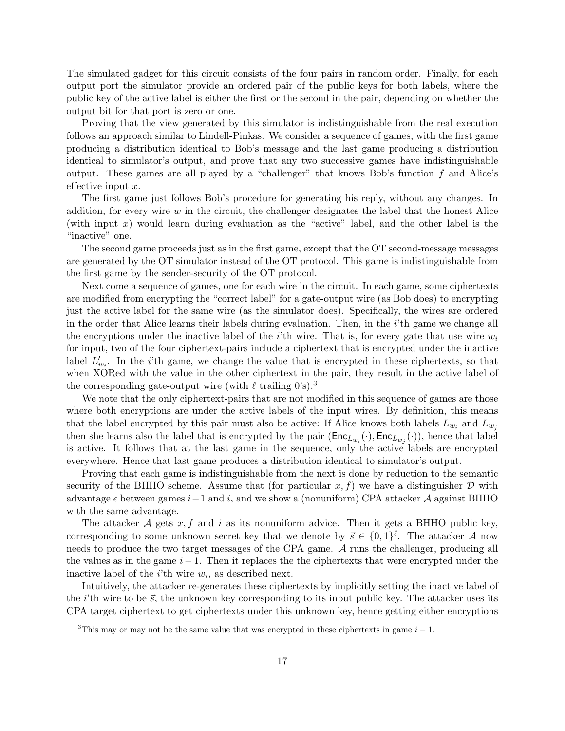The simulated gadget for this circuit consists of the four pairs in random order. Finally, for each output port the simulator provide an ordered pair of the public keys for both labels, where the public key of the active label is either the first or the second in the pair, depending on whether the output bit for that port is zero or one.

Proving that the view generated by this simulator is indistinguishable from the real execution follows an approach similar to Lindell-Pinkas. We consider a sequence of games, with the first game producing a distribution identical to Bob's message and the last game producing a distribution identical to simulator's output, and prove that any two successive games have indistinguishable output. These games are all played by a "challenger" that knows Bob's function  $f$  and Alice's effective input  $x$ .

The first game just follows Bob's procedure for generating his reply, without any changes. In addition, for every wire  $w$  in the circuit, the challenger designates the label that the honest Alice (with input  $x$ ) would learn during evaluation as the "active" label, and the other label is the "inactive" one.

The second game proceeds just as in the first game, except that the OT second-message messages are generated by the OT simulator instead of the OT protocol. This game is indistinguishable from the first game by the sender-security of the OT protocol.

Next come a sequence of games, one for each wire in the circuit. In each game, some ciphertexts are modified from encrypting the "correct label" for a gate-output wire (as Bob does) to encrypting just the active label for the same wire (as the simulator does). Specifically, the wires are ordered in the order that Alice learns their labels during evaluation. Then, in the i'th game we change all the encryptions under the inactive label of the *i*'th wire. That is, for every gate that use wire  $w_i$ for input, two of the four ciphertext-pairs include a ciphertext that is encrypted under the inactive label  $L'_{w_i}$ . In the *i*'th game, we change the value that is encrypted in these ciphertexts, so that when XORed with the value in the other ciphertext in the pair, they result in the active label of the corresponding gate-output wire (with  $\ell$  trailing 0's).<sup>3</sup>

We note that the only ciphertext-pairs that are not modified in this sequence of games are those where both encryptions are under the active labels of the input wires. By definition, this means that the label encrypted by this pair must also be active: If Alice knows both labels  $L_{w_i}$  and  $L_{w_j}$ then she learns also the label that is encrypted by the pair  $(\textsf{Enc}_{L_{w_i}}(\cdot), \textsf{Enc}_{L_{w_j}}(\cdot))$ , hence that label is active. It follows that at the last game in the sequence, only the active labels are encrypted everywhere. Hence that last game produces a distribution identical to simulator's output.

Proving that each game is indistinguishable from the next is done by reduction to the semantic security of the BHHO scheme. Assume that (for particular  $x, f$ ) we have a distinguisher  $D$  with advantage  $\epsilon$  between games  $i-1$  and i, and we show a (nonuniform) CPA attacker A against BHHO with the same advantage.

The attacker A gets x, f and i as its nonuniform advice. Then it gets a BHHO public key, corresponding to some unknown secret key that we denote by  $\vec{s} \in \{0,1\}^{\ell}$ . The attacker A now needs to produce the two target messages of the CPA game. A runs the challenger, producing all the values as in the game  $i - 1$ . Then it replaces the the ciphertexts that were encrypted under the inactive label of the *i*'th wire  $w_i$ , as described next.

Intuitively, the attacker re-generates these ciphertexts by implicitly setting the inactive label of the *i*'th wire to be  $\vec{s}$ , the unknown key corresponding to its input public key. The attacker uses its CPA target ciphertext to get ciphertexts under this unknown key, hence getting either encryptions

<sup>&</sup>lt;sup>3</sup>This may or may not be the same value that was encrypted in these ciphertexts in game  $i-1$ .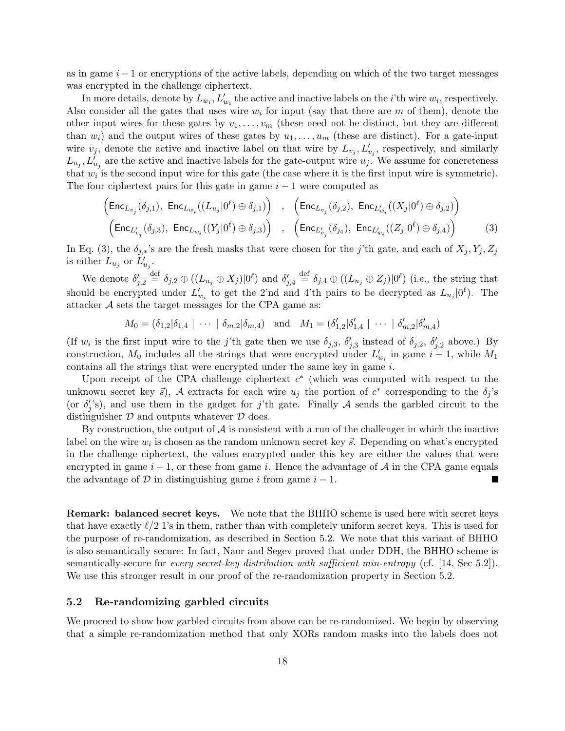as in game  $i - 1$  or encryptions of the active labels, depending on which of the two target messages was encrypted in the challenge ciphertext.

In more details, denote by  $L_{w_i}, L'_{w_i}$  the active and inactive labels on the *i*'th wire  $w_i$ , respectively. Also consider all the gates that uses wire  $w_i$  for input (say that there are m of them), denote the other input wires for these gates by  $v_1, \ldots, v_m$  (these need not be distinct, but they are different than  $w_i$ ) and the output wires of these gates by  $u_1, \ldots, u_m$  (these are distinct). For a gate-input wire  $v_j$ , denote the active and inactive label on that wire by  $L_{v_j}, L'_{v_j}$ , respectively, and similarly  $L_{u_j}, L'_{u_j}$  are the active and inactive labels for the gate-output wire  $u_j$ . We assume for concreteness that  $w_i$  is the second input wire for this gate (the case where it is the first input wire is symmetric). The four ciphertext pairs for this gate in game  $i - 1$  were computed as

$$
\begin{pmatrix}\n\mathsf{Enc}_{L_{v_j}}(\delta_{j,1}), \ \mathsf{Enc}_{L_{w_i}}((L_{u_j}|0^{\ell}) \oplus \delta_{j,1})\n\end{pmatrix}, \ \left(\mathsf{Enc}_{L_{v_j}}(\delta_{j,2}), \ \mathsf{Enc}_{L'_{w_i}}((X_j|0^{\ell}) \oplus \delta_{j,2})\n\right) \\
\left(\mathsf{Enc}_{L'_{v_j}}(\delta_{j,3}), \ \mathsf{Enc}_{L_{w_i}}((Y_j|0^{\ell}) \oplus \delta_{j,3})\n\right), \ \left(\mathsf{Enc}_{L'_{v_j}}(\delta_{j,1}), \ \mathsf{Enc}_{L'_{w_i}}((Z_j|0^{\ell}) \oplus \delta_{j,4})\n\right) \tag{3}
$$

In Eq. (3), the  $\delta_{j,*}$ 's are the fresh masks that were chosen for the j'th gate, and each of  $X_j, Y_j, Z_j$ is either  $L_{u_j}$  or  $L'_{u_j}$ .

We denote  $\delta'_{j,2} \stackrel{\text{def}}{=} \delta_{j,2} \oplus ((L_{u_j} \oplus X_j)|0^{\ell})$  and  $\delta'_{j,4} \stackrel{\text{def}}{=} \delta_{j,4} \oplus ((L_{u_j} \oplus Z_j)|0^{\ell})$  (i.e., the string that should be encrypted under  $L'_{w_i}$  to get the 2'nd and 4'th pairs to be decrypted as  $L_{u_j}|0^{\ell}$ ). The attacker  $A$  sets the target messages for the CPA game as:

$$
M_0 = (\delta_{1,2}|\delta_{1,4} | \cdots | \delta_{m,2}|\delta_{m,4}) \text{ and } M_1 = (\delta'_{1,2}|\delta'_{1,4} | \cdots | \delta'_{m,2}|\delta'_{m,4})
$$

(If  $w_i$  is the first input wire to the j'th gate then we use  $\delta_{j,3}$ ,  $\delta'_{j,3}$  instead of  $\delta_{j,2}$ ,  $\delta'_{j,2}$  above.) By construction,  $M_0$  includes all the strings that were encrypted under  $L'_{w_i}$  in game  $i-1$ , while  $M_1$ contains all the strings that were encrypted under the same key in game  $i$ .

Upon receipt of the CPA challenge ciphertext  $c^*$  (which was computed with respect to the unknown secret key  $\vec{s}$ ), A extracts for each wire  $u_j$  the portion of  $c^*$  corresponding to the  $\delta_j$ 's (or  $\delta_j'$ 's), and use them in the gadget for j'th gate. Finally A sends the garbled circuit to the distinguisher  $D$  and outputs whatever  $D$  does.

By construction, the output of  $A$  is consistent with a run of the challenger in which the inactive label on the wire  $w_i$  is chosen as the random unknown secret key  $\vec{s}$ . Depending on what's encrypted in the challenge ciphertext, the values encrypted under this key are either the values that were encrypted in game  $i - 1$ , or these from game i. Hence the advantage of A in the CPA game equals the advantage of  $D$  in distinguishing game i from game  $i - 1$ . П

Remark: balanced secret keys. We note that the BHHO scheme is used here with secret keys that have exactly  $\ell/2$  1's in them, rather than with completely uniform secret keys. This is used for the purpose of re-randomization, as described in Section 5.2. We note that this variant of BHHO is also semantically secure: In fact, Naor and Segev proved that under DDH, the BHHO scheme is semantically-secure for *every secret-key distribution with sufficient min-entropy* (cf. [14, Sec 5.2]). We use this stronger result in our proof of the re-randomization property in Section 5.2.

### 5.2 Re-randomizing garbled circuits

We proceed to show how garbled circuits from above can be re-randomized. We begin by observing that a simple re-randomization method that only XORs random masks into the labels does not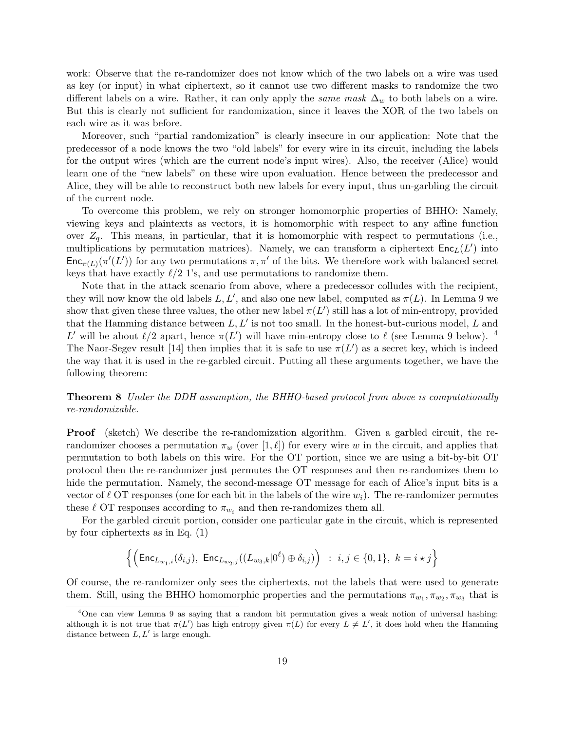work: Observe that the re-randomizer does not know which of the two labels on a wire was used as key (or input) in what ciphertext, so it cannot use two different masks to randomize the two different labels on a wire. Rather, it can only apply the *same mask*  $\Delta_w$  to both labels on a wire. But this is clearly not sufficient for randomization, since it leaves the XOR of the two labels on each wire as it was before.

Moreover, such "partial randomization" is clearly insecure in our application: Note that the predecessor of a node knows the two "old labels" for every wire in its circuit, including the labels for the output wires (which are the current node's input wires). Also, the receiver (Alice) would learn one of the "new labels" on these wire upon evaluation. Hence between the predecessor and Alice, they will be able to reconstruct both new labels for every input, thus un-garbling the circuit of the current node.

To overcome this problem, we rely on stronger homomorphic properties of BHHO: Namely, viewing keys and plaintexts as vectors, it is homomorphic with respect to any affine function over  $Z_q$ . This means, in particular, that it is homomorphic with respect to permutations (i.e., multiplications by permutation matrices). Namely, we can transform a ciphertext  $\mathsf{Enc}_L(L')$  into  $\mathsf{Enc}_{\pi(L)}(\pi'(L'))$  for any two permutations  $\pi, \pi'$  of the bits. We therefore work with balanced secret keys that have exactly  $\ell/2$  1's, and use permutations to randomize them.

Note that in the attack scenario from above, where a predecessor colludes with the recipient, they will now know the old labels  $L, L'$ , and also one new label, computed as  $\pi(L)$ . In Lemma 9 we show that given these three values, the other new label  $\pi(L')$  still has a lot of min-entropy, provided that the Hamming distance between  $L, L'$  is not too small. In the honest-but-curious model,  $L$  and L' will be about  $\ell/2$  apart, hence  $\pi(L')$  will have min-entropy close to  $\ell$  (see Lemma 9 below). <sup>4</sup> The Naor-Segev result [14] then implies that it is safe to use  $\pi(L')$  as a secret key, which is indeed the way that it is used in the re-garbled circuit. Putting all these arguments together, we have the following theorem:

Theorem 8 Under the DDH assumption, the BHHO-based protocol from above is computationally re-randomizable.

Proof (sketch) We describe the re-randomization algorithm. Given a garbled circuit, the rerandomizer chooses a permutation  $\pi_w$  (over  $[1, \ell]$ ) for every wire w in the circuit, and applies that permutation to both labels on this wire. For the OT portion, since we are using a bit-by-bit OT protocol then the re-randomizer just permutes the OT responses and then re-randomizes them to hide the permutation. Namely, the second-message OT message for each of Alice's input bits is a vector of  $\ell$  OT responses (one for each bit in the labels of the wire  $w_i$ ). The re-randomizer permutes these  $\ell$  OT responses according to  $\pi_{w_i}$  and then re-randomizes them all.

For the garbled circuit portion, consider one particular gate in the circuit, which is represented by four ciphertexts as in Eq. (1)

$$
\Big\{ \Big(\mathsf{Enc}_{L_{w_1,i}}(\delta_{i,j}),\; \mathsf{Enc}_{L_{w_2,j}}((L_{w_3,k}|0^{\ell})\oplus \delta_{i,j})\Big) \; : \; i,j \in \{0,1\}, \; k=i \star j \Big\}
$$

Of course, the re-randomizer only sees the ciphertexts, not the labels that were used to generate them. Still, using the BHHO homomorphic properties and the permutations  $\pi_{w_1}, \pi_{w_2}, \pi_{w_3}$  that is

<sup>4</sup>One can view Lemma 9 as saying that a random bit permutation gives a weak notion of universal hashing: although it is not true that  $\pi(L')$  has high entropy given  $\pi(L)$  for every  $L \neq L'$ , it does hold when the Hamming distance between  $L, L'$  is large enough.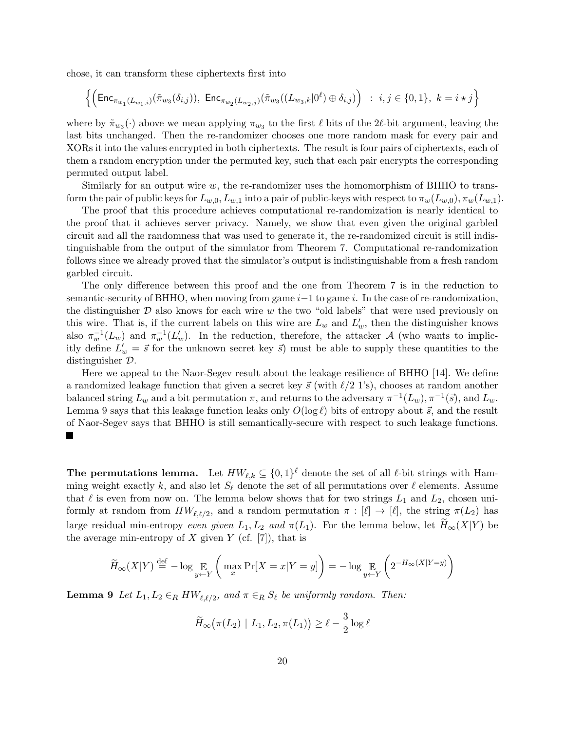chose, it can transform these ciphertexts first into

$$
\left\{ \Big(\mathrm{Enc}_{\pi_{w_1}(L_{w_1,i})}(\tilde{\pi}_{w_3}(\delta_{i,j})), \ \mathrm{Enc}_{\pi_{w_2}(L_{w_2,j})}(\tilde{\pi}_{w_3}((L_{w_3,k}|0^\ell)\oplus \delta_{i,j})\Big) \ : \ i,j\in\{0,1\}, \ k=i\star j\right\}
$$

where by  $\tilde{\pi}_{w_3}(\cdot)$  above we mean applying  $\pi_{w_3}$  to the first  $\ell$  bits of the 2 $\ell$ -bit argument, leaving the last bits unchanged. Then the re-randomizer chooses one more random mask for every pair and XORs it into the values encrypted in both ciphertexts. The result is four pairs of ciphertexts, each of them a random encryption under the permuted key, such that each pair encrypts the corresponding permuted output label.

Similarly for an output wire w, the re-randomizer uses the homomorphism of BHHO to transform the pair of public keys for  $L_{w,0}, L_{w,1}$  into a pair of public-keys with respect to  $\pi_w(L_{w,0}), \pi_w(L_{w,1}).$ 

The proof that this procedure achieves computational re-randomization is nearly identical to the proof that it achieves server privacy. Namely, we show that even given the original garbled circuit and all the randomness that was used to generate it, the re-randomized circuit is still indistinguishable from the output of the simulator from Theorem 7. Computational re-randomization follows since we already proved that the simulator's output is indistinguishable from a fresh random garbled circuit.

The only difference between this proof and the one from Theorem 7 is in the reduction to semantic-security of BHHO, when moving from game  $i-1$  to game i. In the case of re-randomization, the distinguisher  $\mathcal D$  also knows for each wire w the two "old labels" that were used previously on this wire. That is, if the current labels on this wire are  $L_w$  and  $L'_w$ , then the distinguisher knows also  $\pi_w^{-1}(L_w)$  and  $\pi_w^{-1}(L'_w)$ . In the reduction, therefore, the attacker A (who wants to implicitly define  $L'_w = \vec{s}$  for the unknown secret key  $\vec{s}$ ) must be able to supply these quantities to the distinguisher D.

Here we appeal to the Naor-Segev result about the leakage resilience of BHHO [14]. We define a randomized leakage function that given a secret key  $\vec{s}$  (with  $\ell/2$  1's), chooses at random another balanced string  $L_w$  and a bit permutation  $\pi$ , and returns to the adversary  $\pi^{-1}(L_w)$ ,  $\pi^{-1}(\vec{s})$ , and  $L_w$ . Lemma 9 says that this leakage function leaks only  $O(\log \ell)$  bits of entropy about  $\vec{s}$ , and the result of Naor-Segev says that BHHO is still semantically-secure with respect to such leakage functions.

The permutations lemma. Let  $HW_{\ell,k} \subseteq \{0,1\}^{\ell}$  denote the set of all  $\ell$ -bit strings with Hamming weight exactly k, and also let  $S_{\ell}$  denote the set of all permutations over  $\ell$  elements. Assume that  $\ell$  is even from now on. The lemma below shows that for two strings  $L_1$  and  $L_2$ , chosen uniformly at random from  $HW_{\ell,\ell/2}$ , and a random permutation  $\pi : [\ell] \to [\ell]$ , the string  $\pi(L_2)$  has large residual min-entropy even given  $L_1, L_2$  and  $\pi(L_1)$ . For the lemma below, let  $H_{\infty}(X|Y)$  be the average min-entropy of X given Y (cf. [7]), that is

$$
\widetilde{H}_{\infty}(X|Y) \stackrel{\text{def}}{=} -\log \mathop{\mathbb{E}}_{y \leftarrow Y} \left( \max_{x} \Pr[X = x | Y = y] \right) = -\log \mathop{\mathbb{E}}_{y \leftarrow Y} \left( 2^{-H_{\infty}(X|Y=y)} \right)
$$

**Lemma 9** Let  $L_1, L_2 \in_R HW_{\ell, \ell/2}$ , and  $\pi \in_R S_{\ell}$  be uniformly random. Then:

$$
\widetilde{H}_{\infty}(\pi(L_2) \mid L_1, L_2, \pi(L_1)) \ge \ell - \frac{3}{2} \log \ell
$$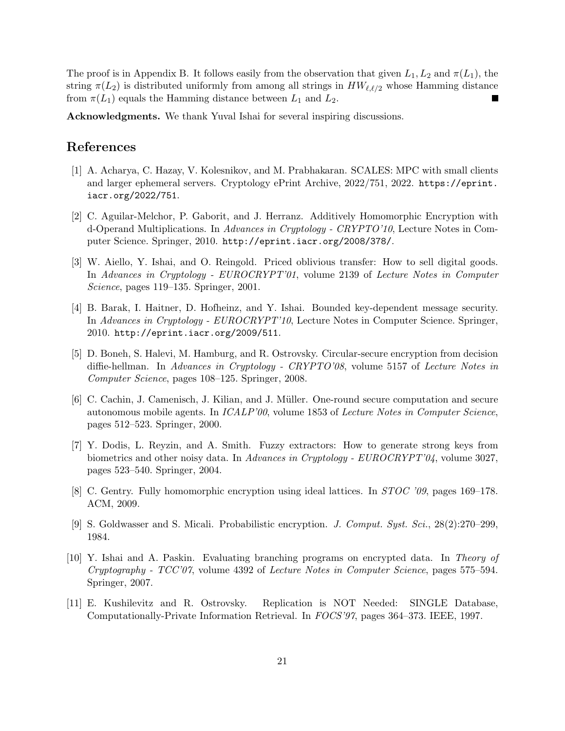The proof is in Appendix B. It follows easily from the observation that given  $L_1, L_2$  and  $\pi(L_1)$ , the string  $\pi(L_2)$  is distributed uniformly from among all strings in  $HW_{\ell,\ell/2}$  whose Hamming distance from  $\pi(L_1)$  equals the Hamming distance between  $L_1$  and  $L_2$ .

Acknowledgments. We thank Yuval Ishai for several inspiring discussions.

# References

- [1] A. Acharya, C. Hazay, V. Kolesnikov, and M. Prabhakaran. SCALES: MPC with small clients and larger ephemeral servers. Cryptology ePrint Archive, 2022/751, 2022. https://eprint. iacr.org/2022/751.
- [2] C. Aguilar-Melchor, P. Gaborit, and J. Herranz. Additively Homomorphic Encryption with d-Operand Multiplications. In Advances in Cryptology - CRYPTO'10, Lecture Notes in Computer Science. Springer, 2010. http://eprint.iacr.org/2008/378/.
- [3] W. Aiello, Y. Ishai, and O. Reingold. Priced oblivious transfer: How to sell digital goods. In Advances in Cryptology - EUROCRYPT'01, volume 2139 of Lecture Notes in Computer Science, pages 119–135. Springer, 2001.
- [4] B. Barak, I. Haitner, D. Hofheinz, and Y. Ishai. Bounded key-dependent message security. In Advances in Cryptology - EUROCRYPT'10, Lecture Notes in Computer Science. Springer, 2010. http://eprint.iacr.org/2009/511.
- [5] D. Boneh, S. Halevi, M. Hamburg, and R. Ostrovsky. Circular-secure encryption from decision diffie-hellman. In Advances in Cryptology - CRYPTO'08, volume 5157 of Lecture Notes in Computer Science, pages 108–125. Springer, 2008.
- [6] C. Cachin, J. Camenisch, J. Kilian, and J. M¨uller. One-round secure computation and secure autonomous mobile agents. In ICALP'00, volume 1853 of Lecture Notes in Computer Science, pages 512–523. Springer, 2000.
- [7] Y. Dodis, L. Reyzin, and A. Smith. Fuzzy extractors: How to generate strong keys from biometrics and other noisy data. In Advances in Cryptology - EUROCRYPT'04, volume 3027, pages 523–540. Springer, 2004.
- [8] C. Gentry. Fully homomorphic encryption using ideal lattices. In STOC '09, pages 169–178. ACM, 2009.
- [9] S. Goldwasser and S. Micali. Probabilistic encryption. J. Comput. Syst. Sci., 28(2):270–299, 1984.
- [10] Y. Ishai and A. Paskin. Evaluating branching programs on encrypted data. In Theory of Cryptography - TCC'07, volume 4392 of Lecture Notes in Computer Science, pages 575–594. Springer, 2007.
- [11] E. Kushilevitz and R. Ostrovsky. Replication is NOT Needed: SINGLE Database, Computationally-Private Information Retrieval. In FOCS'97, pages 364–373. IEEE, 1997.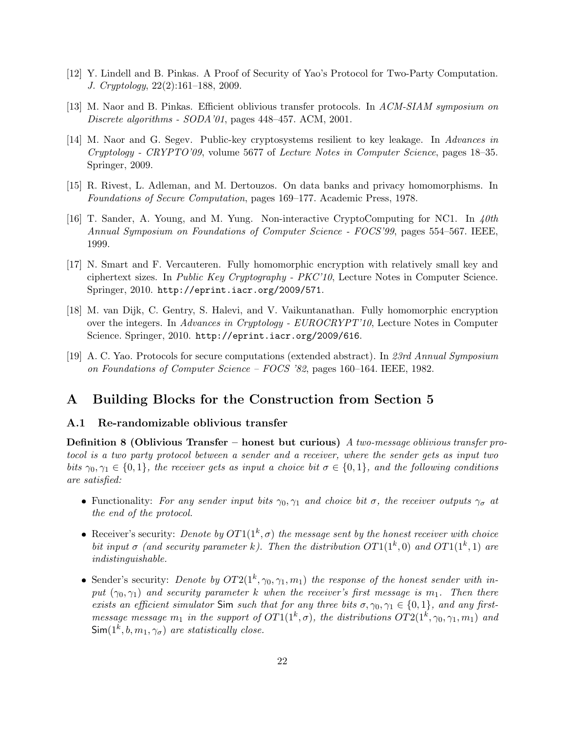- [12] Y. Lindell and B. Pinkas. A Proof of Security of Yao's Protocol for Two-Party Computation. J. Cryptology, 22(2):161–188, 2009.
- [13] M. Naor and B. Pinkas. Efficient oblivious transfer protocols. In ACM-SIAM symposium on Discrete algorithms - SODA'01, pages 448–457. ACM, 2001.
- [14] M. Naor and G. Segev. Public-key cryptosystems resilient to key leakage. In Advances in Cryptology - CRYPTO'09, volume 5677 of Lecture Notes in Computer Science, pages 18–35. Springer, 2009.
- [15] R. Rivest, L. Adleman, and M. Dertouzos. On data banks and privacy homomorphisms. In Foundations of Secure Computation, pages 169–177. Academic Press, 1978.
- [16] T. Sander, A. Young, and M. Yung. Non-interactive CryptoComputing for NC1. In  $40th$ Annual Symposium on Foundations of Computer Science - FOCS'99, pages 554–567. IEEE, 1999.
- [17] N. Smart and F. Vercauteren. Fully homomorphic encryption with relatively small key and ciphertext sizes. In Public Key Cryptography - PKC'10, Lecture Notes in Computer Science. Springer, 2010. http://eprint.iacr.org/2009/571.
- [18] M. van Dijk, C. Gentry, S. Halevi, and V. Vaikuntanathan. Fully homomorphic encryption over the integers. In Advances in Cryptology - EUROCRYPT'10, Lecture Notes in Computer Science. Springer, 2010. http://eprint.iacr.org/2009/616.
- [19] A. C. Yao. Protocols for secure computations (extended abstract). In 23rd Annual Symposium on Foundations of Computer Science – FOCS '82, pages 160–164. IEEE, 1982.

# A Building Blocks for the Construction from Section 5

### A.1 Re-randomizable oblivious transfer

**Definition 8 (Oblivious Transfer – honest but curious)** A two-message oblivious transfer protocol is a two party protocol between a sender and a receiver, where the sender gets as input two bits  $\gamma_0, \gamma_1 \in \{0, 1\}$ , the receiver gets as input a choice bit  $\sigma \in \{0, 1\}$ , and the following conditions are satisfied:

- **•** Functionality: For any sender input bits  $\gamma_0, \gamma_1$  and choice bit  $\sigma$ , the receiver outputs  $\gamma_\sigma$  at the end of the protocol.
- Receiver's security: Denote by  $OT1(1^k, \sigma)$  the message sent by the honest receiver with choice bit input  $\sigma$  (and security parameter k). Then the distribution  $OT1(1^k, 0)$  and  $OT1(1^k, 1)$  are indistinguishable.
- Sender's security: Denote by  $OT2(1^k, \gamma_0, \gamma_1, m_1)$  the response of the honest sender with input  $(\gamma_0, \gamma_1)$  and security parameter k when the receiver's first message is m<sub>1</sub>. Then there exists an efficient simulator Sim such that for any three bits  $\sigma, \gamma_0, \gamma_1 \in \{0, 1\}$ , and any firstmessage message  $m_1$  in the support of  $OT1(1^k, \sigma)$ , the distributions  $OT2(1^k, \gamma_0, \gamma_1, m_1)$  and  $\mathsf{Sim}(1^k, b, m_1, \gamma_\sigma)$  are statistically close.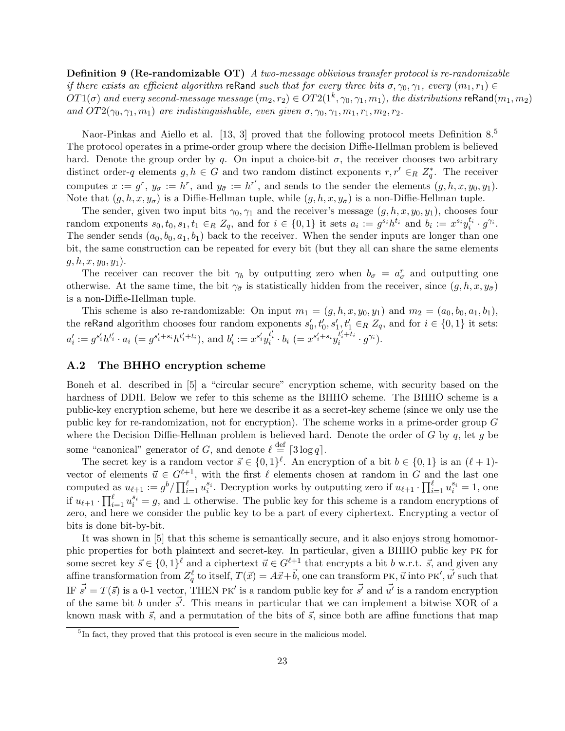Definition 9 (Re-randomizable OT) A two-message oblivious transfer protocol is re-randomizable if there exists an efficient algorithm reRand such that for every three bits  $\sigma, \gamma_0, \gamma_1$ , every  $(m_1, r_1) \in$  $OT1(\sigma)$  and every second-message message  $(m_2, r_2) \in OT2(1^k, \gamma_0, \gamma_1, m_1),$  the distributions  ${\sf reRand}(m_1, m_2)$ and  $OT2(\gamma_0, \gamma_1, m_1)$  are indistinguishable, even given  $\sigma, \gamma_0, \gamma_1, m_1, r_1, m_2, r_2$ .

Naor-Pinkas and Aiello et al. [13, 3] proved that the following protocol meets Definition 8.<sup>5</sup> The protocol operates in a prime-order group where the decision Diffie-Hellman problem is believed hard. Denote the group order by q. On input a choice-bit  $\sigma$ , the receiver chooses two arbitrary distinct order-q elements  $g, h \in G$  and two random distinct exponents  $r, r' \in R \mathbb{Z}_q^*$ . The receiver computes  $x := g^r$ ,  $y_{\sigma} := h^r$ , and  $y_{\bar{\sigma}} := h^{r'}$ , and sends to the sender the elements  $(g, h, x, y_0, y_1)$ . Note that  $(g, h, x, y_{\sigma})$  is a Diffie-Hellman tuple, while  $(g, h, x, y_{\bar{\sigma}})$  is a non-Diffie-Hellman tuple.

The sender, given two input bits  $\gamma_0, \gamma_1$  and the receiver's message  $(g, h, x, y_0, y_1)$ , chooses four random exponents  $s_0, t_0, s_1, t_1 \in_R Z_q$ , and for  $i \in \{0,1\}$  it sets  $a_i := g^{s_i} h^{t_i}$  and  $b_i := x^{s_i} y_i^{t_i} \cdot g^{\gamma_i}$ . The sender sends  $(a_0, b_0, a_1, b_1)$  back to the receiver. When the sender inputs are longer than one bit, the same construction can be repeated for every bit (but they all can share the same elements  $g, h, x, y_0, y_1$ .

The receiver can recover the bit  $\gamma_b$  by outputting zero when  $b_{\sigma} = a_{\sigma}^r$  and outputting one otherwise. At the same time, the bit  $\gamma_{\bar{\sigma}}$  is statistically hidden from the receiver, since  $(g, h, x, y_{\bar{\sigma}})$ is a non-Diffie-Hellman tuple.

This scheme is also re-randomizable: On input  $m_1 = (g, h, x, y_0, y_1)$  and  $m_2 = (a_0, b_0, a_1, b_1)$ , the reRand algorithm chooses four random exponents  $s'_0, t'_0, s'_1, t'_1 \in_R Z_q$ , and for  $i \in \{0, 1\}$  it sets:  $a'_i := g^{s'_i} h^{t'_i} \cdot a_i \ (= g^{s'_i + s_i} h^{t'_i + t_i}), \text{ and } b'_i := x^{s'_i} y_i^{t'_i} \cdot b_i \ (= x^{s'_i + s_i} y_i^{t'_i + t_i} \cdot g^{\gamma_i}).$ 

### A.2 The BHHO encryption scheme

Boneh et al. described in [5] a "circular secure" encryption scheme, with security based on the hardness of DDH. Below we refer to this scheme as the BHHO scheme. The BHHO scheme is a public-key encryption scheme, but here we describe it as a secret-key scheme (since we only use the public key for re-randomization, not for encryption). The scheme works in a prime-order group G where the Decision Diffie-Hellman problem is believed hard. Denote the order of G by q, let g be some "canonical" generator of G, and denote  $\ell \stackrel{\text{def}}{=} \lceil 3 \log q \rceil$ .

The secret key is a random vector  $\vec{s} \in \{0,1\}^{\ell}$ . An encryption of a bit  $b \in \{0,1\}$  is an  $(\ell+1)$ vector of elements  $\vec{u} \in G^{\ell+1}$ , with the first  $\ell$  elements chosen at random in G and the last one computed as  $u_{\ell+1} := g^b / \prod_{i=1}^{\ell} u_i^{s_i}$ . Decryption works by outputting zero if  $u_{\ell+1} \cdot \prod_{i=1}^{\ell} u_i^{s_i} = 1$ , one if  $u_{\ell+1} \cdot \prod_{i=1}^{\ell} u_i^{s_i} = g$ , and  $\perp$  otherwise. The public key for this scheme is a random encryptions of zero, and here we consider the public key to be a part of every ciphertext. Encrypting a vector of bits is done bit-by-bit.

It was shown in [5] that this scheme is semantically secure, and it also enjoys strong homomorphic properties for both plaintext and secret-key. In particular, given a BHHO public key pk for some secret key  $\vec{s} \in \{0,1\}^{\ell}$  and a ciphertext  $\vec{u} \in G^{\ell+1}$  that encrypts a bit b w.r.t.  $\vec{s}$ , and given any affine transformation from  $Z_q^{\ell}$  to itself,  $T(\vec{x}) = A\vec{x} + \vec{b}$ , one can transform PK,  $\vec{u}$  into PK',  $\vec{u'}$  such that IF  $\vec{s'} = T(\vec{s})$  is a 0-1 vector, THEN PK' is a random public key for  $\vec{s'}$  and  $\vec{u'}$  is a random encryption of the same bit b under  $\vec{s'}$ . This means in particular that we can implement a bitwise XOR of a known mask with  $\vec{s}$ , and a permutation of the bits of  $\vec{s}$ , since both are affine functions that map

<sup>&</sup>lt;sup>5</sup>In fact, they proved that this protocol is even secure in the malicious model.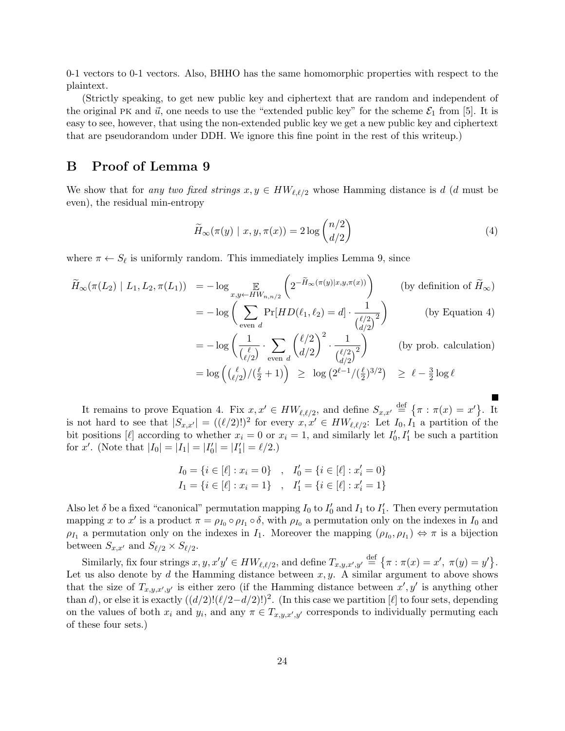0-1 vectors to 0-1 vectors. Also, BHHO has the same homomorphic properties with respect to the plaintext.

(Strictly speaking, to get new public key and ciphertext that are random and independent of the original PK and  $\vec{u}$ , one needs to use the "extended public key" for the scheme  $\mathcal{E}_1$  from [5]. It is easy to see, however, that using the non-extended public key we get a new public key and ciphertext that are pseudorandom under DDH. We ignore this fine point in the rest of this writeup.)

# B Proof of Lemma 9

We show that for any two fixed strings  $x, y \in HW_{\ell,\ell/2}$  whose Hamming distance is d (d must be even), the residual min-entropy

$$
\widetilde{H}_{\infty}(\pi(y) \mid x, y, \pi(x)) = 2 \log \binom{n/2}{d/2} \tag{4}
$$

where  $\pi \leftarrow S_{\ell}$  is uniformly random. This immediately implies Lemma 9, since

$$
\widetilde{H}_{\infty}(\pi(L_2) \mid L_1, L_2, \pi(L_1)) = -\log \mathop{\mathbb{E}}_{x, y \leftarrow HW_{n, n/2}} \left( 2^{-\widetilde{H}_{\infty}(\pi(y)|x, y, \pi(x))} \right) \qquad \text{(by definition of } \widetilde{H}_{\infty})
$$
\n
$$
= -\log \left( \sum_{\text{even } d} \Pr[HD(\ell_1, \ell_2) = d] \cdot \frac{1}{\binom{\ell/2}{d/2}^2} \right) \qquad \text{(by Equation 4)}
$$
\n
$$
= -\log \left( \frac{1}{\binom{\ell}{\ell/2}} \cdot \sum_{\text{even } d} \binom{\ell/2}{d/2}^2 \cdot \frac{1}{\binom{\ell/2}{d/2}^2} \right) \qquad \text{(by prob. calculation)}
$$
\n
$$
= \log \left( \binom{\ell}{\ell/2} / \left( \frac{\ell}{2} + 1 \right) \right) \ge \log \left( 2^{\ell - 1} / \left( \frac{\ell}{2} \right)^{3/2} \right) \ge \ell - \frac{3}{2} \log \ell
$$

It remains to prove Equation 4. Fix  $x, x' \in HW_{\ell,\ell/2}$ , and define  $S_{x,x'} \stackrel{\text{def}}{=} {\pi : \pi(x) = x'}$ . It is not hard to see that  $|S_{x,x'}| = ((\ell/2)!)^2$  for every  $x, x' \in HW_{\ell,\ell/2}$ : Let  $I_0, I_1$  a partition of the bit positions [ $\ell$ ] according to whether  $x_i = 0$  or  $x_i = 1$ , and similarly let  $I'_0, I'_1$  be such a partition for x'. (Note that  $|I_0| = |I_1| = |I'_0| = |I'_1| = \ell/2.$ )

$$
I_0 = \{i \in [\ell] : x_i = 0\} , I'_0 = \{i \in [\ell] : x'_i = 0\}
$$
  

$$
I_1 = \{i \in [\ell] : x_i = 1\} , I'_1 = \{i \in [\ell] : x'_i = 1\}
$$

Also let  $\delta$  be a fixed "canonical" permutation mapping  $I_0$  to  $I'_0$  and  $I_1$  to  $I'_1$ . Then every permutation mapping x to x' is a product  $\pi = \rho_{I_0} \circ \rho_{I_1} \circ \delta$ , with  $\rho_{I_0}$  a permutation only on the indexes in  $I_0$  and  $\rho_{I_1}$  a permutation only on the indexes in  $I_1$ . Moreover the mapping  $(\rho_{I_0}, \rho_{I_1}) \Leftrightarrow \pi$  is a bijection between  $S_{x,x'}$  and  $S_{\ell/2} \times S_{\ell/2}$ .

Similarly, fix four strings  $x, y, x'y' \in HW_{\ell,\ell/2}$ , and define  $T_{x,y,x',y'} \stackrel{\text{def}}{=} {\pi : \pi(x) = x', \pi(y) = y'}$ . Let us also denote by d the Hamming distance between  $x, y$ . A similar argument to above shows that the size of  $T_{x,y,x',y'}$  is either zero (if the Hamming distance between  $x', y'$  is anything other than d), or else it is exactly  $((d/2)!((\ell/2-d/2)!)^2$ . (In this case we partition  $[\ell]$  to four sets, depending on the values of both  $x_i$  and  $y_i$ , and any  $\pi \in T_{x,y,x',y'}$  corresponds to individually permuting each of these four sets.)